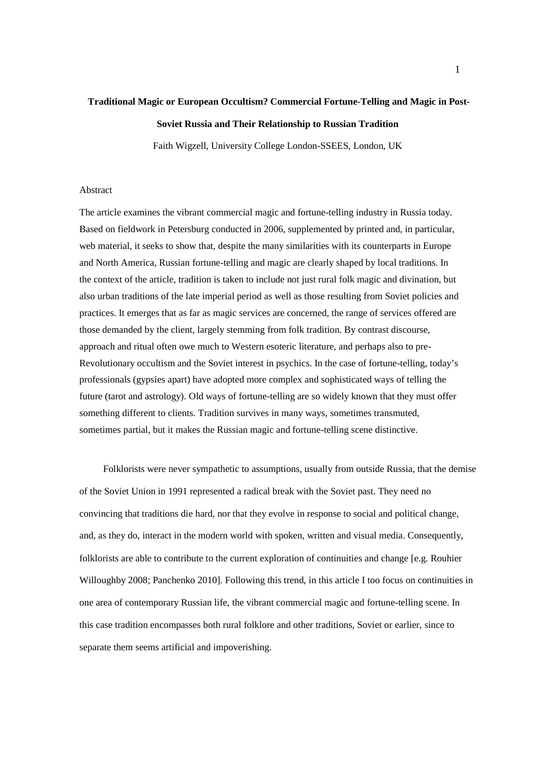# **Traditional Magic or European Occultism? Commercial Fortune-Telling and Magic in Post-Soviet Russia and Their Relationship to Russian Tradition**

Faith Wigzell, University College London-SSEES, London, UK

#### Abstract

The article examines the vibrant commercial magic and fortune-telling industry in Russia today. Based on fieldwork in Petersburg conducted in 2006, supplemented by printed and, in particular, web material, it seeks to show that, despite the many similarities with its counterparts in Europe and North America, Russian fortune-telling and magic are clearly shaped by local traditions. In the context of the article, tradition is taken to include not just rural folk magic and divination, but also urban traditions of the late imperial period as well as those resulting from Soviet policies and practices. It emerges that as far as magic services are concerned, the range of services offered are those demanded by the client, largely stemming from folk tradition. By contrast discourse, approach and ritual often owe much to Western esoteric literature, and perhaps also to pre-Revolutionary occultism and the Soviet interest in psychics. In the case of fortune-telling, today's professionals (gypsies apart) have adopted more complex and sophisticated ways of telling the future (tarot and astrology). Old ways of fortune-telling are so widely known that they must offer something different to clients. Tradition survives in many ways, sometimes transmuted, sometimes partial, but it makes the Russian magic and fortune-telling scene distinctive.

Folklorists were never sympathetic to assumptions, usually from outside Russia, that the demise of the Soviet Union in 1991 represented a radical break with the Soviet past. They need no convincing that traditions die hard, nor that they evolve in response to social and political change, and, as they do, interact in the modern world with spoken, written and visual media. Consequently, folklorists are able to contribute to the current exploration of continuities and change [e.g. Rouhier Willoughby 2008; Panchenko 2010]. Following this trend, in this article I too focus on continuities in one area of contemporary Russian life, the vibrant commercial magic and fortune-telling scene. In this case tradition encompasses both rural folklore and other traditions, Soviet or earlier, since to separate them seems artificial and impoverishing.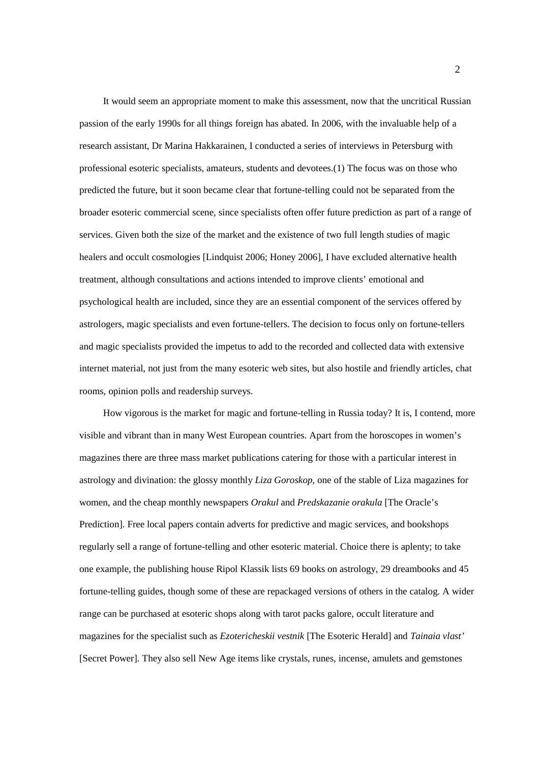It would seem an appropriate moment to make this assessment, now that the uncritical Russian passion of the early 1990s for all things foreign has abated. In 2006, with the invaluable help of a research assistant, Dr Marina Hakkarainen, I conducted a series of interviews in Petersburg with professional esoteric specialists, amateurs, students and devotees.(1) The focus was on those who predicted the future, but it soon became clear that fortune-telling could not be separated from the broader esoteric commercial scene, since specialists often offer future prediction as part of a range of services. Given both the size of the market and the existence of two full length studies of magic healers and occult cosmologies [Lindquist 2006; Honey 2006], I have excluded alternative health treatment, although consultations and actions intended to improve clients' emotional and psychological health are included, since they are an essential component of the services offered by astrologers, magic specialists and even fortune-tellers. The decision to focus only on fortune-tellers and magic specialists provided the impetus to add to the recorded and collected data with extensive internet material, not just from the many esoteric web sites, but also hostile and friendly articles, chat rooms, opinion polls and readership surveys.

How vigorous is the market for magic and fortune-telling in Russia today? It is, I contend, more visible and vibrant than in many West European countries. Apart from the horoscopes in women's magazines there are three mass market publications catering for those with a particular interest in astrology and divination: the glossy monthly *Liza Goroskop*, one of the stable of Liza magazines for women, and the cheap monthly newspapers *Orakul* and *Predskazanie orakula* [The Oracle's Prediction]. Free local papers contain adverts for predictive and magic services, and bookshops regularly sell a range of fortune-telling and other esoteric material. Choice there is aplenty; to take one example, the publishing house Ripol Klassik lists 69 books on astrology, 29 dreambooks and 45 fortune-telling guides, though some of these are repackaged versions of others in the catalog. A wider range can be purchased at esoteric shops along with tarot packs galore, occult literature and magazines for the specialist such as *Ezotericheskii vestnik* [The Esoteric Herald] and *Tainaia vlast'* [Secret Power]. They also sell New Age items like crystals, runes, incense, amulets and gemstones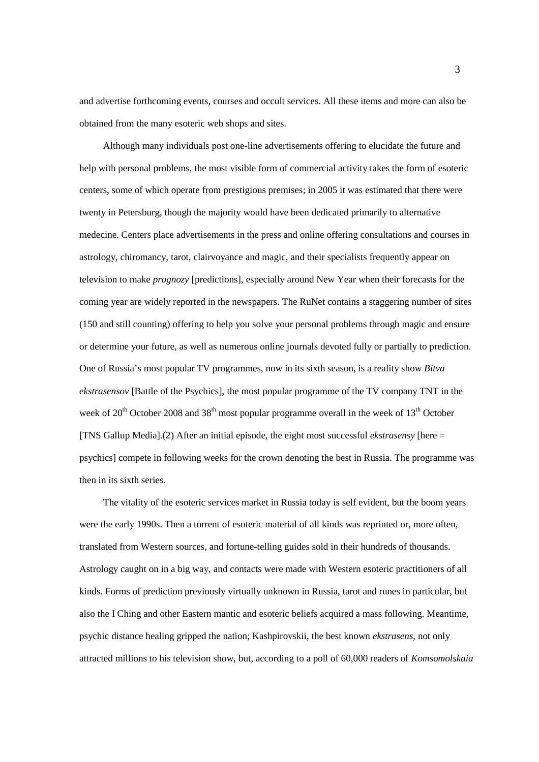and advertise forthcoming events, courses and occult services. All these items and more can also be obtained from the many esoteric web shops and sites.

Although many individuals post one-line advertisements offering to elucidate the future and help with personal problems, the most visible form of commercial activity takes the form of esoteric centers, some of which operate from prestigious premises; in 2005 it was estimated that there were twenty in Petersburg, though the majority would have been dedicated primarily to alternative medecine. Centers place advertisements in the press and online offering consultations and courses in astrology, chiromancy, tarot, clairvoyance and magic, and their specialists frequently appear on television to make *prognozy* [predictions], especially around New Year when their forecasts for the coming year are widely reported in the newspapers. The RuNet contains a staggering number of sites (150 and still counting) offering to help you solve your personal problems through magic and ensure or determine your future, as well as numerous online journals devoted fully or partially to prediction. One of Russia's most popular TV programmes, now in its sixth season, is a reality show *Bitva ekstrasensov* [Battle of the Psychics], the most popular programme of the TV company TNT in the week of  $20<sup>th</sup>$  October 2008 and 38<sup>th</sup> most popular programme overall in the week of 13<sup>th</sup> October [TNS Gallup Media].(2) After an initial episode, the eight most successful *ekstrasensy* [here = psychics] compete in following weeks for the crown denoting the best in Russia. The programme was then in its sixth series.

The vitality of the esoteric services market in Russia today is self evident, but the boom years were the early 1990s. Then a torrent of esoteric material of all kinds was reprinted or, more often, translated from Western sources, and fortune-telling guides sold in their hundreds of thousands. Astrology caught on in a big way, and contacts were made with Western esoteric practitioners of all kinds. Forms of prediction previously virtually unknown in Russia, tarot and runes in particular, but also the I Ching and other Eastern mantic and esoteric beliefs acquired a mass following. Meantime, psychic distance healing gripped the nation; Kashpirovskii, the best known *ekstrasens*, not only attracted millions to his television show, but, according to a poll of 60,000 readers of *Komsomolskaia*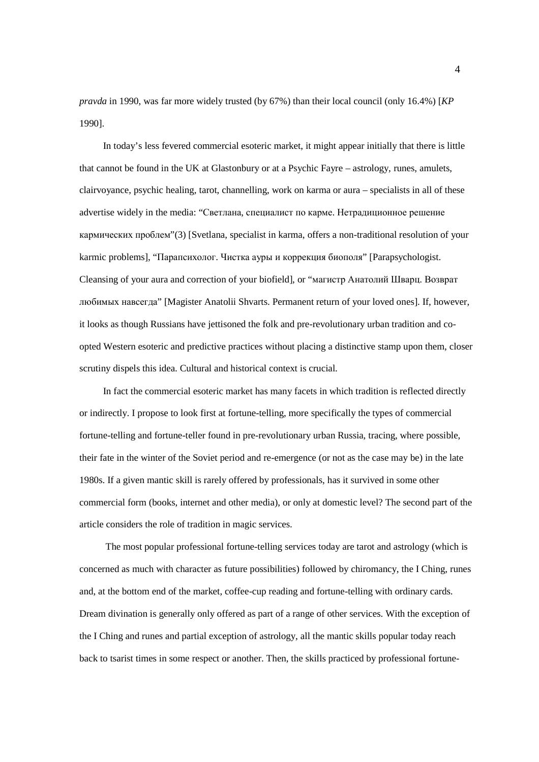*pravda* in 1990, was far more widely trusted (by 67%) than their local council (only 16.4%) [*KP* 1990].

In today's less fevered commercial esoteric market, it might appear initially that there is little that cannot be found in the UK at Glastonbury or at a Psychic Fayre – astrology, runes, amulets, clairvoyance, psychic healing, tarot, channelling, work on karma or aura – specialists in all of these advertise widely in the media: "Светлана, специалист по карме. Нетрадиционное решение кармических проблем"(3) [Svetlana, specialist in karma, offers a non-traditional resolution of your karmic problems], "Парапсихолог. Чистка ауры и коррекция биополя" [Parapsychologist. Cleansing of your aura and correction of your biofield], or "магистр Анатолий Шварц. Возврат любимых навсегда" [Magister Anatolii Shvarts. Permanent return of your loved ones]. If, however, it looks as though Russians have jettisoned the folk and pre-revolutionary urban tradition and coopted Western esoteric and predictive practices without placing a distinctive stamp upon them, closer scrutiny dispels this idea. Cultural and historical context is crucial.

In fact the commercial esoteric market has many facets in which tradition is reflected directly or indirectly. I propose to look first at fortune-telling, more specifically the types of commercial fortune-telling and fortune-teller found in pre-revolutionary urban Russia, tracing, where possible, their fate in the winter of the Soviet period and re-emergence (or not as the case may be) in the late 1980s. If a given mantic skill is rarely offered by professionals, has it survived in some other commercial form (books, internet and other media), or only at domestic level? The second part of the article considers the role of tradition in magic services.

The most popular professional fortune-telling services today are tarot and astrology (which is concerned as much with character as future possibilities) followed by chiromancy, the I Ching, runes and, at the bottom end of the market, coffee-cup reading and fortune-telling with ordinary cards. Dream divination is generally only offered as part of a range of other services. With the exception of the I Ching and runes and partial exception of astrology, all the mantic skills popular today reach back to tsarist times in some respect or another. Then, the skills practiced by professional fortune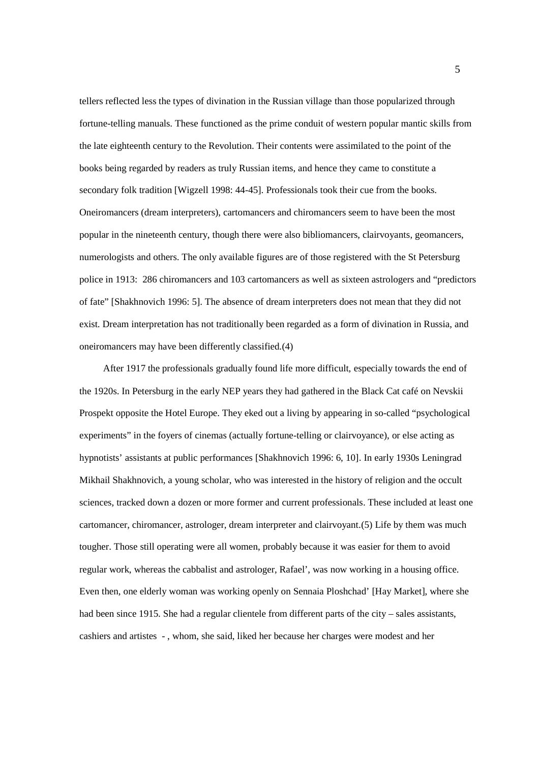tellers reflected less the types of divination in the Russian village than those popularized through fortune-telling manuals. These functioned as the prime conduit of western popular mantic skills from the late eighteenth century to the Revolution. Their contents were assimilated to the point of the books being regarded by readers as truly Russian items, and hence they came to constitute a secondary folk tradition [Wigzell 1998: 44-45]. Professionals took their cue from the books. Oneiromancers (dream interpreters), cartomancers and chiromancers seem to have been the most popular in the nineteenth century, though there were also bibliomancers, clairvoyants, geomancers, numerologists and others. The only available figures are of those registered with the St Petersburg police in 1913: 286 chiromancers and 103 cartomancers as well as sixteen astrologers and "predictors of fate" [Shakhnovich 1996: 5]. The absence of dream interpreters does not mean that they did not exist. Dream interpretation has not traditionally been regarded as a form of divination in Russia, and oneiromancers may have been differently classified.(4)

After 1917 the professionals gradually found life more difficult, especially towards the end of the 1920s. In Petersburg in the early NEP years they had gathered in the Black Cat café on Nevskii Prospekt opposite the Hotel Europe. They eked out a living by appearing in so-called "psychological experiments" in the foyers of cinemas (actually fortune-telling or clairvoyance), or else acting as hypnotists' assistants at public performances [Shakhnovich 1996: 6, 10]. In early 1930s Leningrad Mikhail Shakhnovich, a young scholar, who was interested in the history of religion and the occult sciences, tracked down a dozen or more former and current professionals. These included at least one cartomancer, chiromancer, astrologer, dream interpreter and clairvoyant.(5) Life by them was much tougher. Those still operating were all women, probably because it was easier for them to avoid regular work, whereas the cabbalist and astrologer, Rafael', was now working in a housing office. Even then, one elderly woman was working openly on Sennaia Ploshchad' [Hay Market], where she had been since 1915. She had a regular clientele from different parts of the city – sales assistants, cashiers and artistes - , whom, she said, liked her because her charges were modest and her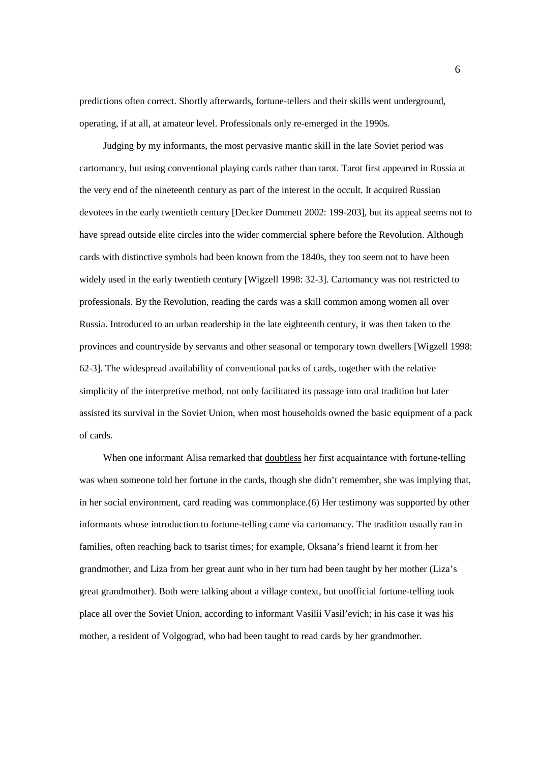predictions often correct. Shortly afterwards, fortune-tellers and their skills went underground, operating, if at all, at amateur level. Professionals only re-emerged in the 1990s.

Judging by my informants, the most pervasive mantic skill in the late Soviet period was cartomancy, but using conventional playing cards rather than tarot. Tarot first appeared in Russia at the very end of the nineteenth century as part of the interest in the occult. It acquired Russian devotees in the early twentieth century [Decker Dummett 2002: 199-203], but its appeal seems not to have spread outside elite circles into the wider commercial sphere before the Revolution. Although cards with distinctive symbols had been known from the 1840s, they too seem not to have been widely used in the early twentieth century [Wigzell 1998: 32-3]. Cartomancy was not restricted to professionals. By the Revolution, reading the cards was a skill common among women all over Russia. Introduced to an urban readership in the late eighteenth century, it was then taken to the provinces and countryside by servants and other seasonal or temporary town dwellers [Wigzell 1998: 62-3]. The widespread availability of conventional packs of cards, together with the relative simplicity of the interpretive method, not only facilitated its passage into oral tradition but later assisted its survival in the Soviet Union, when most households owned the basic equipment of a pack of cards.

When one informant Alisa remarked that doubtless her first acquaintance with fortune-telling was when someone told her fortune in the cards, though she didn't remember, she was implying that, in her social environment, card reading was commonplace.(6) Her testimony was supported by other informants whose introduction to fortune-telling came via cartomancy. The tradition usually ran in families, often reaching back to tsarist times; for example, Oksana's friend learnt it from her grandmother, and Liza from her great aunt who in her turn had been taught by her mother (Liza's great grandmother). Both were talking about a village context, but unofficial fortune-telling took place all over the Soviet Union, according to informant Vasilii Vasil'evich; in his case it was his mother, a resident of Volgograd, who had been taught to read cards by her grandmother.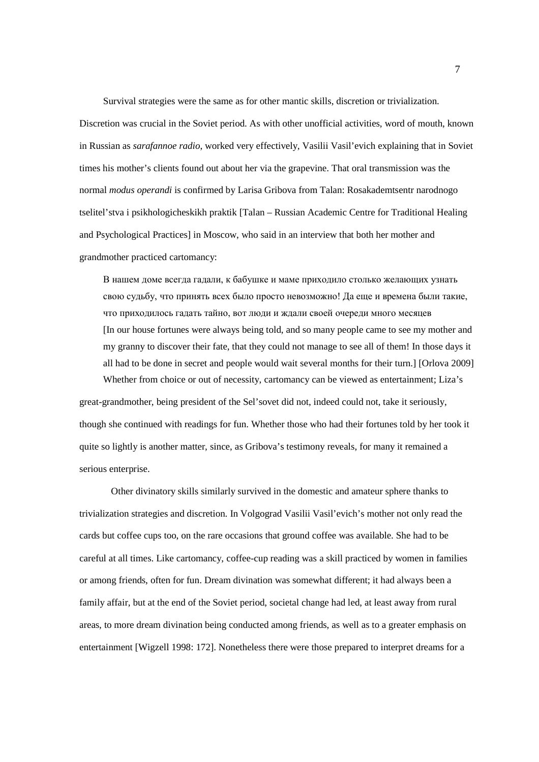Survival strategies were the same as for other mantic skills, discretion or trivialization. Discretion was crucial in the Soviet period. As with other unofficial activities, word of mouth, known in Russian as *sarafannoe radio*, worked very effectively, Vasilii Vasil'evich explaining that in Soviet times his mother's clients found out about her via the grapevine. That oral transmission was the normal *modus operandi* is confirmed by Larisa Gribova from Talan: Rosakademtsentr narodnogo tselitel'stva i psikhologicheskikh praktik [Talan – Russian Academic Centre for Traditional Healing and Psychological Practices] in Moscow, who said in an interview that both her mother and grandmother practiced cartomancy:

В нашем доме всегда гадали, к бабушке и маме приходило столько желающих узнать свою судьбу, что принять всех было просто невозможно! Да еще и времена были такие, что приходилось гадать тайно, вот люди и ждали своей очереди много месяцев [In our house fortunes were always being told, and so many people came to see my mother and my granny to discover their fate, that they could not manage to see all of them! In those days it all had to be done in secret and people would wait several months for their turn.] [Orlova 2009] Whether from choice or out of necessity, cartomancy can be viewed as entertainment; Liza's

great-grandmother, being president of the Sel'sovet did not, indeed could not, take it seriously, though she continued with readings for fun. Whether those who had their fortunes told by her took it quite so lightly is another matter, since, as Gribova's testimony reveals, for many it remained a serious enterprise.

Other divinatory skills similarly survived in the domestic and amateur sphere thanks to trivialization strategies and discretion. In Volgograd Vasilii Vasil'evich's mother not only read the cards but coffee cups too, on the rare occasions that ground coffee was available. She had to be careful at all times. Like cartomancy, coffee-cup reading was a skill practiced by women in families or among friends, often for fun. Dream divination was somewhat different; it had always been a family affair, but at the end of the Soviet period, societal change had led, at least away from rural areas, to more dream divination being conducted among friends, as well as to a greater emphasis on entertainment [Wigzell 1998: 172]. Nonetheless there were those prepared to interpret dreams for a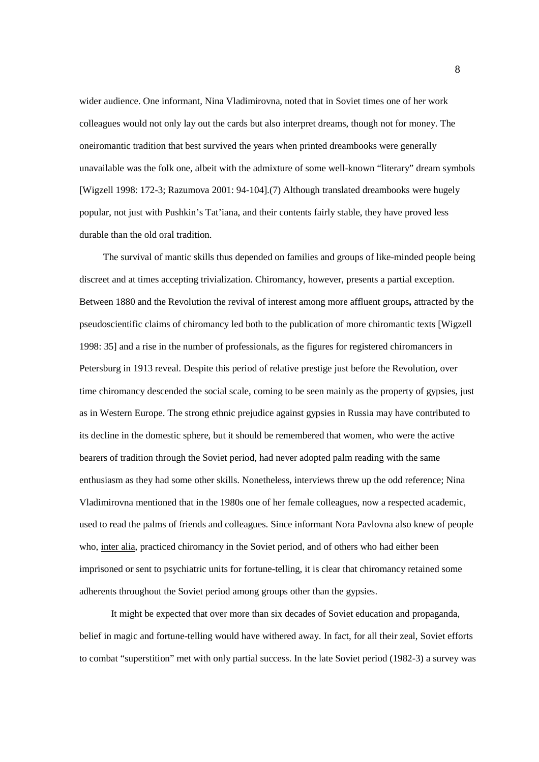wider audience. One informant, Nina Vladimirovna, noted that in Soviet times one of her work colleagues would not only lay out the cards but also interpret dreams, though not for money. The oneiromantic tradition that best survived the years when printed dreambooks were generally unavailable was the folk one, albeit with the admixture of some well-known "literary" dream symbols [Wigzell 1998: 172-3; Razumova 2001: 94-104].(7) Although translated dreambooks were hugely popular, not just with Pushkin's Tat'iana, and their contents fairly stable, they have proved less durable than the old oral tradition.

The survival of mantic skills thus depended on families and groups of like-minded people being discreet and at times accepting trivialization. Chiromancy, however, presents a partial exception. Between 1880 and the Revolution the revival of interest among more affluent groups**,** attracted by the pseudoscientific claims of chiromancy led both to the publication of more chiromantic texts [Wigzell 1998: 35] and a rise in the number of professionals, as the figures for registered chiromancers in Petersburg in 1913 reveal. Despite this period of relative prestige just before the Revolution, over time chiromancy descended the social scale, coming to be seen mainly as the property of gypsies, just as in Western Europe. The strong ethnic prejudice against gypsies in Russia may have contributed to its decline in the domestic sphere, but it should be remembered that women, who were the active bearers of tradition through the Soviet period, had never adopted palm reading with the same enthusiasm as they had some other skills. Nonetheless, interviews threw up the odd reference; Nina Vladimirovna mentioned that in the 1980s one of her female colleagues, now a respected academic, used to read the palms of friends and colleagues. Since informant Nora Pavlovna also knew of people who, inter alia, practiced chiromancy in the Soviet period, and of others who had either been imprisoned or sent to psychiatric units for fortune-telling, it is clear that chiromancy retained some adherents throughout the Soviet period among groups other than the gypsies.

It might be expected that over more than six decades of Soviet education and propaganda, belief in magic and fortune-telling would have withered away. In fact, for all their zeal, Soviet efforts to combat "superstition" met with only partial success. In the late Soviet period (1982-3) a survey was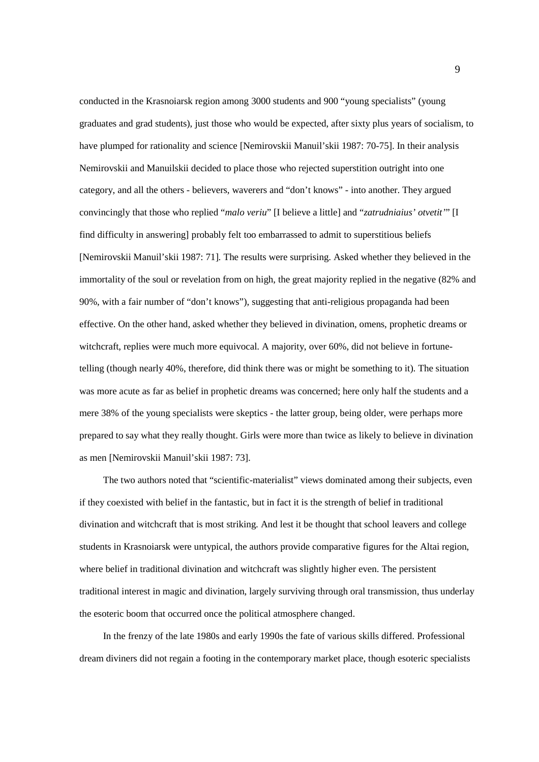conducted in the Krasnoiarsk region among 3000 students and 900 "young specialists" (young graduates and grad students), just those who would be expected, after sixty plus years of socialism, to have plumped for rationality and science [Nemirovskii Manuil'skii 1987: 70-75]. In their analysis Nemirovskii and Manuilskii decided to place those who rejected superstition outright into one category, and all the others - believers, waverers and "don't knows" - into another. They argued convincingly that those who replied "*malo veriu*" [I believe a little] and "*zatrudniaius' otvetit'*" [I find difficulty in answering] probably felt too embarrassed to admit to superstitious beliefs [Nemirovskii Manuil'skii 1987: 71]. The results were surprising. Asked whether they believed in the immortality of the soul or revelation from on high, the great majority replied in the negative (82% and 90%, with a fair number of "don't knows"), suggesting that anti-religious propaganda had been effective. On the other hand, asked whether they believed in divination, omens, prophetic dreams or witchcraft, replies were much more equivocal. A majority, over 60%, did not believe in fortunetelling (though nearly 40%, therefore, did think there was or might be something to it). The situation was more acute as far as belief in prophetic dreams was concerned; here only half the students and a mere 38% of the young specialists were skeptics - the latter group, being older, were perhaps more prepared to say what they really thought. Girls were more than twice as likely to believe in divination as men [Nemirovskii Manuil'skii 1987: 73].

The two authors noted that "scientific-materialist" views dominated among their subjects, even if they coexisted with belief in the fantastic, but in fact it is the strength of belief in traditional divination and witchcraft that is most striking. And lest it be thought that school leavers and college students in Krasnoiarsk were untypical, the authors provide comparative figures for the Altai region, where belief in traditional divination and witchcraft was slightly higher even. The persistent traditional interest in magic and divination, largely surviving through oral transmission, thus underlay the esoteric boom that occurred once the political atmosphere changed.

In the frenzy of the late 1980s and early 1990s the fate of various skills differed. Professional dream diviners did not regain a footing in the contemporary market place, though esoteric specialists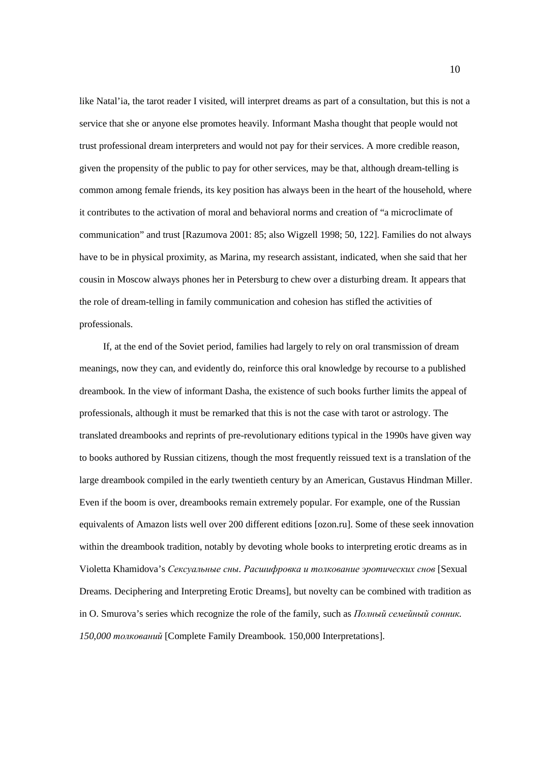like Natal'ia, the tarot reader I visited, will interpret dreams as part of a consultation, but this is not a service that she or anyone else promotes heavily. Informant Masha thought that people would not trust professional dream interpreters and would not pay for their services. A more credible reason, given the propensity of the public to pay for other services, may be that, although dream-telling is common among female friends, its key position has always been in the heart of the household, where it contributes to the activation of moral and behavioral norms and creation of "a microclimate of communication" and trust [Razumova 2001: 85; also Wigzell 1998; 50, 122]. Families do not always have to be in physical proximity, as Marina, my research assistant, indicated, when she said that her cousin in Moscow always phones her in Petersburg to chew over a disturbing dream. It appears that the role of dream-telling in family communication and cohesion has stifled the activities of professionals.

If, at the end of the Soviet period, families had largely to rely on oral transmission of dream meanings, now they can, and evidently do, reinforce this oral knowledge by recourse to a published dreambook. In the view of informant Dasha, the existence of such books further limits the appeal of professionals, although it must be remarked that this is not the case with tarot or astrology. The translated dreambooks and reprints of pre-revolutionary editions typical in the 1990s have given way to books authored by Russian citizens, though the most frequently reissued text is a translation of the large dreambook compiled in the early twentieth century by an American, Gustavus Hindman Miller. Even if the boom is over, dreambooks remain extremely popular. For example, one of the Russian equivalents of Amazon lists well over 200 different editions [ozon.ru]. Some of these seek innovation within the dreambook tradition, notably by devoting whole books to interpreting erotic dreams as in Violetta Khamidova's *Сексуальные сны. Расшифровка и толкование эротических снов* [Sexual Dreams. Deciphering and Interpreting Erotic Dreams], but novelty can be combined with tradition as in O. Smurova's series which recognize the role of the family, such as *Полный семейный сонник. 150,000 толкований* [Complete Family Dreambook. 150,000 Interpretations].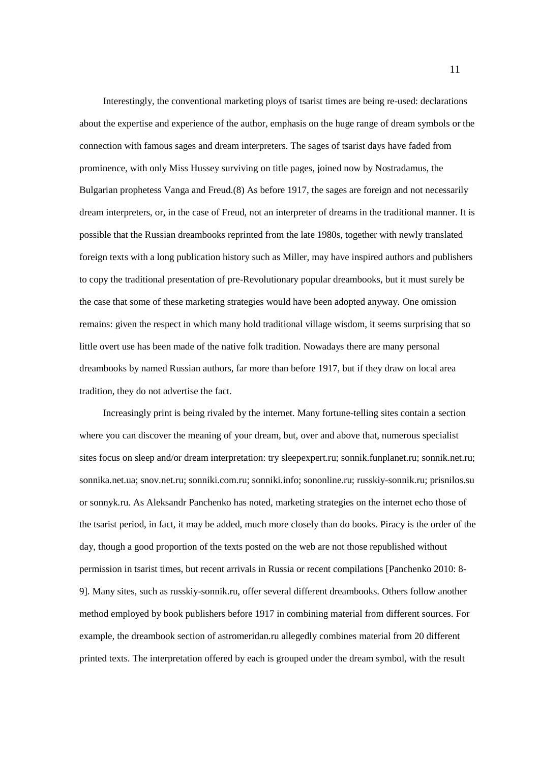Interestingly, the conventional marketing ploys of tsarist times are being re-used: declarations about the expertise and experience of the author, emphasis on the huge range of dream symbols or the connection with famous sages and dream interpreters. The sages of tsarist days have faded from prominence, with only Miss Hussey surviving on title pages, joined now by Nostradamus, the Bulgarian prophetess Vanga and Freud.(8) As before 1917, the sages are foreign and not necessarily dream interpreters, or, in the case of Freud, not an interpreter of dreams in the traditional manner. It is possible that the Russian dreambooks reprinted from the late 1980s, together with newly translated foreign texts with a long publication history such as Miller, may have inspired authors and publishers to copy the traditional presentation of pre-Revolutionary popular dreambooks, but it must surely be the case that some of these marketing strategies would have been adopted anyway. One omission remains: given the respect in which many hold traditional village wisdom, it seems surprising that so little overt use has been made of the native folk tradition. Nowadays there are many personal dreambooks by named Russian authors, far more than before 1917, but if they draw on local area tradition, they do not advertise the fact.

Increasingly print is being rivaled by the internet. Many fortune-telling sites contain a section where you can discover the meaning of your dream, but, over and above that, numerous specialist sites focus on sleep and/or dream interpretation: try sleepexpert.ru; sonnik.funplanet.ru; sonnik.net.ru; sonnika.net.ua; snov.net.ru; sonniki.com.ru; sonniki.info; sononline.ru; russkiy-sonnik.ru; prisnilos.su or sonnyk.ru. As Aleksandr Panchenko has noted, marketing strategies on the internet echo those of the tsarist period, in fact, it may be added, much more closely than do books. Piracy is the order of the day, though a good proportion of the texts posted on the web are not those republished without permission in tsarist times, but recent arrivals in Russia or recent compilations [Panchenko 2010: 8- 9]. Many sites, such as russkiy-sonnik.ru, offer several different dreambooks. Others follow another method employed by book publishers before 1917 in combining material from different sources. For example, the dreambook section of astromeridan.ru allegedly combines material from 20 different printed texts. The interpretation offered by each is grouped under the dream symbol, with the result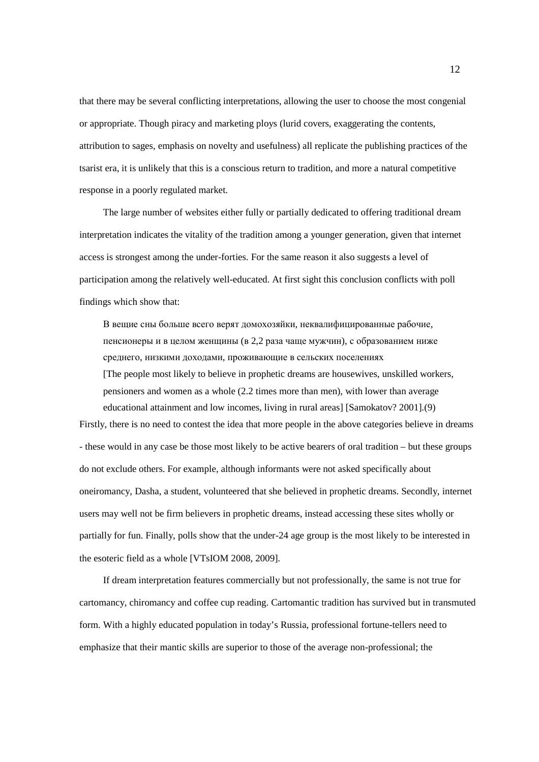that there may be several conflicting interpretations, allowing the user to choose the most congenial or appropriate. Though piracy and marketing ploys (lurid covers, exaggerating the contents, attribution to sages, emphasis on novelty and usefulness) all replicate the publishing practices of the tsarist era, it is unlikely that this is a conscious return to tradition, and more a natural competitive response in a poorly regulated market.

The large number of websites either fully or partially dedicated to offering traditional dream interpretation indicates the vitality of the tradition among a younger generation, given that internet access is strongest among the under-forties. For the same reason it also suggests a level of participation among the relatively well-educated. At first sight this conclusion conflicts with poll findings which show that:

В вещие сны больше всего верят домохозяйки, неквалифицированные рабочие, пенсионеры и в целом женщины (в 2,2 раза чаще мужчин), с образованием ниже среднего, низкими доходами, проживающие в сельских поселениях [The people most likely to believe in prophetic dreams are housewives, unskilled workers, pensioners and women as a whole (2.2 times more than men), with lower than average educational attainment and low incomes, living in rural areas] [Samokatov? 2001].(9)

Firstly, there is no need to contest the idea that more people in the above categories believe in dreams - these would in any case be those most likely to be active bearers of oral tradition – but these groups do not exclude others. For example, although informants were not asked specifically about oneiromancy, Dasha, a student, volunteered that she believed in prophetic dreams. Secondly, internet users may well not be firm believers in prophetic dreams, instead accessing these sites wholly or partially for fun. Finally, polls show that the under-24 age group is the most likely to be interested in the esoteric field as a whole [VTsIOM 2008, 2009].

If dream interpretation features commercially but not professionally, the same is not true for cartomancy, chiromancy and coffee cup reading. Cartomantic tradition has survived but in transmuted form. With a highly educated population in today's Russia, professional fortune-tellers need to emphasize that their mantic skills are superior to those of the average non-professional; the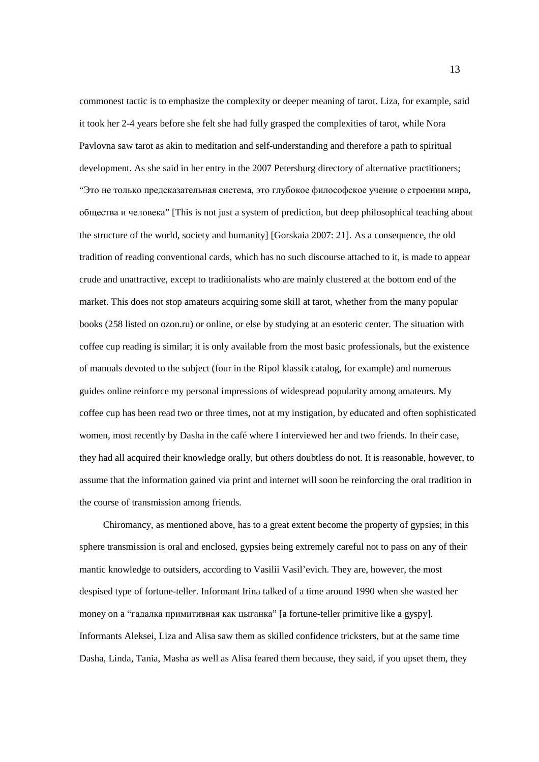commonest tactic is to emphasize the complexity or deeper meaning of tarot. Liza, for example, said it took her 2-4 years before she felt she had fully grasped the complexities of tarot, while Nora Pavlovna saw tarot as akin to meditation and self-understanding and therefore a path to spiritual development. As she said in her entry in the 2007 Petersburg directory of alternative practitioners; "Это не только предсказательная система, это глубокое философское учение о строении мира, общества и человека" [This is not just a system of prediction, but deep philosophical teaching about the structure of the world, society and humanity] [Gorskaia 2007: 21]. As a consequence, the old tradition of reading conventional cards, which has no such discourse attached to it, is made to appear crude and unattractive, except to traditionalists who are mainly clustered at the bottom end of the market. This does not stop amateurs acquiring some skill at tarot, whether from the many popular books (258 listed on ozon.ru) or online, or else by studying at an esoteric center. The situation with coffee cup reading is similar; it is only available from the most basic professionals, but the existence of manuals devoted to the subject (four in the Ripol klassik catalog, for example) and numerous guides online reinforce my personal impressions of widespread popularity among amateurs. My coffee cup has been read two or three times, not at my instigation, by educated and often sophisticated women, most recently by Dasha in the café where I interviewed her and two friends. In their case, they had all acquired their knowledge orally, but others doubtless do not. It is reasonable, however, to assume that the information gained via print and internet will soon be reinforcing the oral tradition in the course of transmission among friends.

Chiromancy, as mentioned above, has to a great extent become the property of gypsies; in this sphere transmission is oral and enclosed, gypsies being extremely careful not to pass on any of their mantic knowledge to outsiders, according to Vasilii Vasil'evich. They are, however, the most despised type of fortune-teller. Informant Irina talked of a time around 1990 when she wasted her money on a "гадалка примитивная как цыганка" [a fortune-teller primitive like a gyspy]. Informants Aleksei, Liza and Alisa saw them as skilled confidence tricksters, but at the same time Dasha, Linda, Tania, Masha as well as Alisa feared them because, they said, if you upset them, they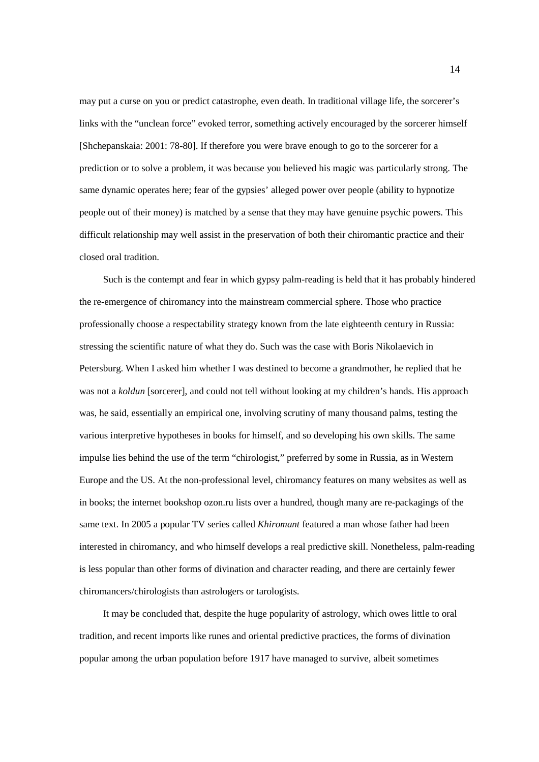may put a curse on you or predict catastrophe, even death. In traditional village life, the sorcerer's links with the "unclean force" evoked terror, something actively encouraged by the sorcerer himself [Shchepanskaia: 2001: 78-80]. If therefore you were brave enough to go to the sorcerer for a prediction or to solve a problem, it was because you believed his magic was particularly strong. The same dynamic operates here; fear of the gypsies' alleged power over people (ability to hypnotize people out of their money) is matched by a sense that they may have genuine psychic powers. This difficult relationship may well assist in the preservation of both their chiromantic practice and their closed oral tradition.

Such is the contempt and fear in which gypsy palm-reading is held that it has probably hindered the re-emergence of chiromancy into the mainstream commercial sphere. Those who practice professionally choose a respectability strategy known from the late eighteenth century in Russia: stressing the scientific nature of what they do. Such was the case with Boris Nikolaevich in Petersburg. When I asked him whether I was destined to become a grandmother, he replied that he was not a *koldun* [sorcerer], and could not tell without looking at my children's hands. His approach was, he said, essentially an empirical one, involving scrutiny of many thousand palms, testing the various interpretive hypotheses in books for himself, and so developing his own skills. The same impulse lies behind the use of the term "chirologist," preferred by some in Russia, as in Western Europe and the US. At the non-professional level, chiromancy features on many websites as well as in books; the internet bookshop ozon.ru lists over a hundred, though many are re-packagings of the same text. In 2005 a popular TV series called *Khiromant* featured a man whose father had been interested in chiromancy, and who himself develops a real predictive skill. Nonetheless, palm-reading is less popular than other forms of divination and character reading, and there are certainly fewer chiromancers/chirologists than astrologers or tarologists.

It may be concluded that, despite the huge popularity of astrology, which owes little to oral tradition, and recent imports like runes and oriental predictive practices, the forms of divination popular among the urban population before 1917 have managed to survive, albeit sometimes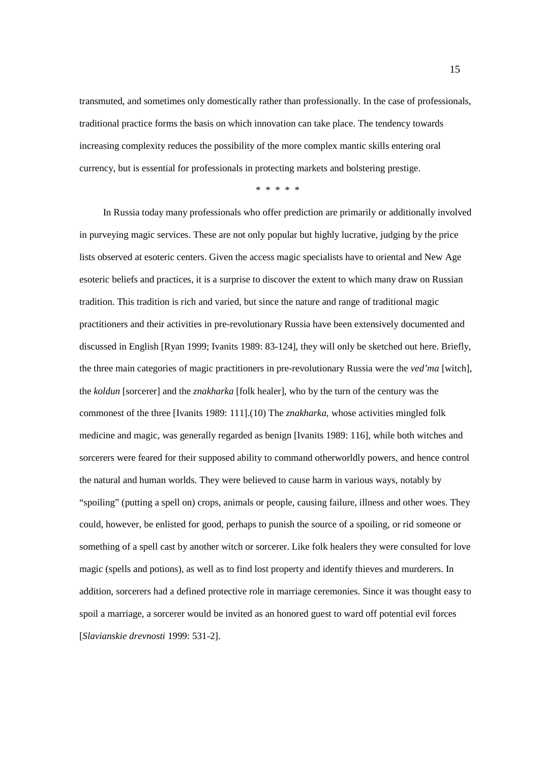transmuted, and sometimes only domestically rather than professionally. In the case of professionals, traditional practice forms the basis on which innovation can take place. The tendency towards increasing complexity reduces the possibility of the more complex mantic skills entering oral currency, but is essential for professionals in protecting markets and bolstering prestige.

\* \* \* \* \*

In Russia today many professionals who offer prediction are primarily or additionally involved in purveying magic services. These are not only popular but highly lucrative, judging by the price lists observed at esoteric centers. Given the access magic specialists have to oriental and New Age esoteric beliefs and practices, it is a surprise to discover the extent to which many draw on Russian tradition. This tradition is rich and varied, but since the nature and range of traditional magic practitioners and their activities in pre-revolutionary Russia have been extensively documented and discussed in English [Ryan 1999; Ivanits 1989: 83-124], they will only be sketched out here. Briefly, the three main categories of magic practitioners in pre-revolutionary Russia were the *ved'ma* [witch], the *koldun* [sorcerer] and the *znakharka* [folk healer], who by the turn of the century was the commonest of the three [Ivanits 1989: 111].(10) The *znakharka*, whose activities mingled folk medicine and magic, was generally regarded as benign [Ivanits 1989: 116], while both witches and sorcerers were feared for their supposed ability to command otherworldly powers, and hence control the natural and human worlds. They were believed to cause harm in various ways, notably by "spoiling" (putting a spell on) crops, animals or people, causing failure, illness and other woes. They could, however, be enlisted for good, perhaps to punish the source of a spoiling, or rid someone or something of a spell cast by another witch or sorcerer. Like folk healers they were consulted for love magic (spells and potions), as well as to find lost property and identify thieves and murderers. In addition, sorcerers had a defined protective role in marriage ceremonies. Since it was thought easy to spoil a marriage, a sorcerer would be invited as an honored guest to ward off potential evil forces [*Slavianskie drevnosti* 1999: 531-2].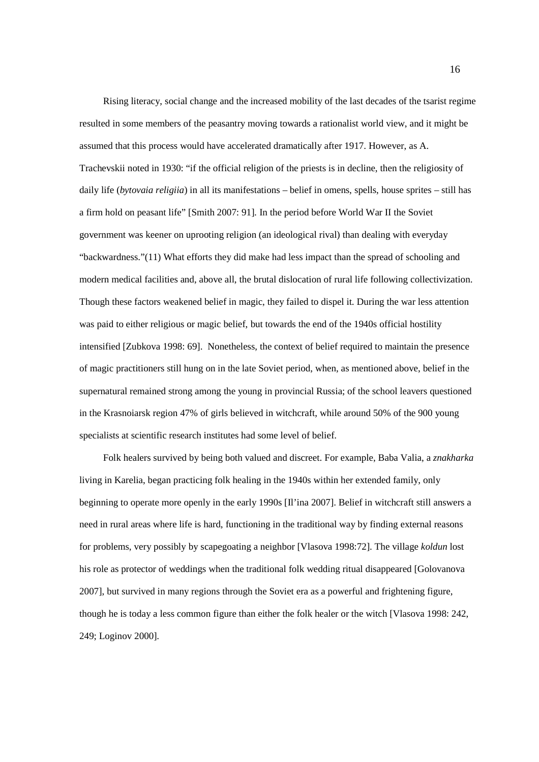Rising literacy, social change and the increased mobility of the last decades of the tsarist regime resulted in some members of the peasantry moving towards a rationalist world view, and it might be assumed that this process would have accelerated dramatically after 1917. However, as A. Trachevskii noted in 1930: "if the official religion of the priests is in decline, then the religiosity of daily life (*bytovaia religiia*) in all its manifestations – belief in omens, spells, house sprites – still has a firm hold on peasant life" [Smith 2007: 91]. In the period before World War II the Soviet government was keener on uprooting religion (an ideological rival) than dealing with everyday "backwardness."(11) What efforts they did make had less impact than the spread of schooling and modern medical facilities and, above all, the brutal dislocation of rural life following collectivization. Though these factors weakened belief in magic, they failed to dispel it. During the war less attention was paid to either religious or magic belief, but towards the end of the 1940s official hostility intensified [Zubkova 1998: 69]. Nonetheless, the context of belief required to maintain the presence of magic practitioners still hung on in the late Soviet period, when, as mentioned above, belief in the supernatural remained strong among the young in provincial Russia; of the school leavers questioned in the Krasnoiarsk region 47% of girls believed in witchcraft, while around 50% of the 900 young specialists at scientific research institutes had some level of belief.

Folk healers survived by being both valued and discreet. For example, Baba Valia, a *znakharka* living in Karelia, began practicing folk healing in the 1940s within her extended family, only beginning to operate more openly in the early 1990s [Il'ina 2007]. Belief in witchcraft still answers a need in rural areas where life is hard, functioning in the traditional way by finding external reasons for problems, very possibly by scapegoating a neighbor [Vlasova 1998:72]. The village *koldun* lost his role as protector of weddings when the traditional folk wedding ritual disappeared [Golovanova 2007], but survived in many regions through the Soviet era as a powerful and frightening figure, though he is today a less common figure than either the folk healer or the witch [Vlasova 1998: 242, 249; Loginov 2000].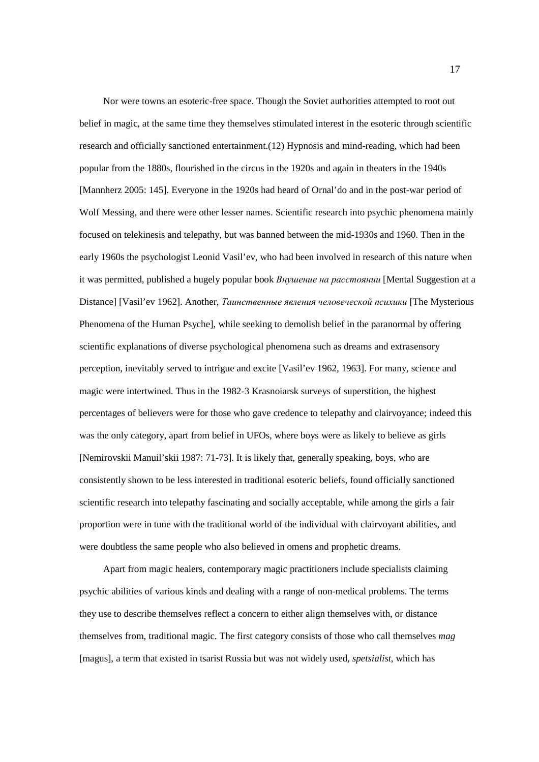Nor were towns an esoteric-free space. Though the Soviet authorities attempted to root out belief in magic, at the same time they themselves stimulated interest in the esoteric through scientific research and officially sanctioned entertainment.(12) Hypnosis and mind-reading, which had been popular from the 1880s, flourished in the circus in the 1920s and again in theaters in the 1940s [Mannherz 2005: 145]. Everyone in the 1920s had heard of Ornal'do and in the post-war period of Wolf Messing, and there were other lesser names. Scientific research into psychic phenomena mainly focused on telekinesis and telepathy, but was banned between the mid-1930s and 1960. Then in the early 1960s the psychologist Leonid Vasil'ev, who had been involved in research of this nature when it was permitted, published a hugely popular book *Внушение на расстоянии* [Mental Suggestion at a Distance] [Vasil'ev 1962]. Another, *Таинственные явления человеческой психики* [The Mysterious Phenomena of the Human Psyche], while seeking to demolish belief in the paranormal by offering scientific explanations of diverse psychological phenomena such as dreams and extrasensory perception, inevitably served to intrigue and excite [Vasil'ev 1962, 1963]. For many, science and magic were intertwined. Thus in the 1982-3 Krasnoiarsk surveys of superstition, the highest percentages of believers were for those who gave credence to telepathy and clairvoyance; indeed this was the only category, apart from belief in UFOs, where boys were as likely to believe as girls [Nemirovskii Manuil'skii 1987: 71-73]. It is likely that, generally speaking, boys, who are consistently shown to be less interested in traditional esoteric beliefs, found officially sanctioned scientific research into telepathy fascinating and socially acceptable, while among the girls a fair proportion were in tune with the traditional world of the individual with clairvoyant abilities, and were doubtless the same people who also believed in omens and prophetic dreams.

Apart from magic healers, contemporary magic practitioners include specialists claiming psychic abilities of various kinds and dealing with a range of non-medical problems. The terms they use to describe themselves reflect a concern to either align themselves with, or distance themselves from, traditional magic. The first category consists of those who call themselves *mag* [magus], a term that existed in tsarist Russia but was not widely used, *spetsialist*, which has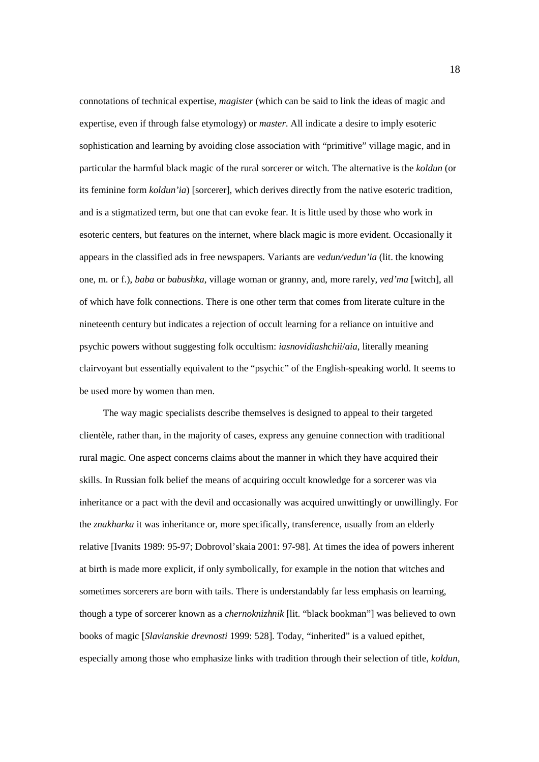connotations of technical expertise, *magister* (which can be said to link the ideas of magic and expertise, even if through false etymology) or *master*. All indicate a desire to imply esoteric sophistication and learning by avoiding close association with "primitive" village magic, and in particular the harmful black magic of the rural sorcerer or witch. The alternative is the *koldun* (or its feminine form *koldun'ia*) [sorcerer], which derives directly from the native esoteric tradition, and is a stigmatized term, but one that can evoke fear. It is little used by those who work in esoteric centers, but features on the internet, where black magic is more evident. Occasionally it appears in the classified ads in free newspapers. Variants are *vedun/vedun'ia* (lit. the knowing one, m. or f.), *baba* or *babushka*, village woman or granny, and, more rarely, *ved'ma* [witch], all of which have folk connections. There is one other term that comes from literate culture in the nineteenth century but indicates a rejection of occult learning for a reliance on intuitive and psychic powers without suggesting folk occultism: *iasnovidiashchii*/*aia*, literally meaning clairvoyant but essentially equivalent to the "psychic" of the English-speaking world. It seems to be used more by women than men.

The way magic specialists describe themselves is designed to appeal to their targeted clientèle, rather than, in the majority of cases, express any genuine connection with traditional rural magic. One aspect concerns claims about the manner in which they have acquired their skills. In Russian folk belief the means of acquiring occult knowledge for a sorcerer was via inheritance or a pact with the devil and occasionally was acquired unwittingly or unwillingly. For the *znakharka* it was inheritance or, more specifically, transference, usually from an elderly relative [Ivanits 1989: 95-97; Dobrovol'skaia 2001: 97-98]. At times the idea of powers inherent at birth is made more explicit, if only symbolically, for example in the notion that witches and sometimes sorcerers are born with tails. There is understandably far less emphasis on learning, though a type of sorcerer known as a *chernoknizhnik* [lit. "black bookman"] was believed to own books of magic [*Slavianskie drevnosti* 1999: 528]. Today, "inherited" is a valued epithet, especially among those who emphasize links with tradition through their selection of title, *koldun,*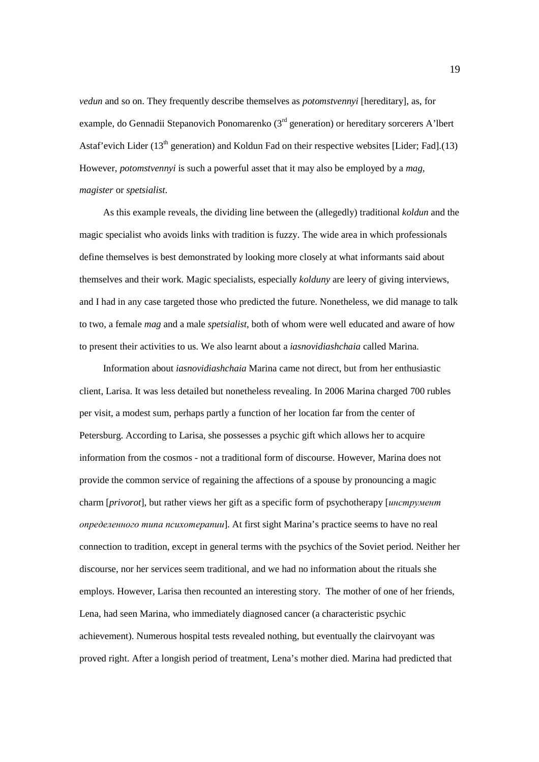*vedun* and so on. They frequently describe themselves as *potomstvennyi* [hereditary], as, for example, do Gennadii Stepanovich Ponomarenko  $3<sup>rd</sup>$  generation) or hereditary sorcerers A'lbert Astaf'evich Lider ( $13<sup>th</sup>$  generation) and Koldun Fad on their respective websites [Lider; Fad].(13) However, *potomstvennyi* is such a powerful asset that it may also be employed by a *mag, magister* or *spetsialist*.

As this example reveals, the dividing line between the (allegedly) traditional *koldun* and the magic specialist who avoids links with tradition is fuzzy. The wide area in which professionals define themselves is best demonstrated by looking more closely at what informants said about themselves and their work. Magic specialists, especially *kolduny* are leery of giving interviews, and I had in any case targeted those who predicted the future. Nonetheless, we did manage to talk to two, a female *mag* and a male *spetsialist*, both of whom were well educated and aware of how to present their activities to us. We also learnt about a *iasnovidiashchaia* called Marina.

Information about *iasnovidiashchaia* Marina came not direct, but from her enthusiastic client, Larisa. It was less detailed but nonetheless revealing. In 2006 Marina charged 700 rubles per visit, a modest sum, perhaps partly a function of her location far from the center of Petersburg. According to Larisa, she possesses a psychic gift which allows her to acquire information from the cosmos - not a traditional form of discourse. However, Marina does not provide the common service of regaining the affections of a spouse by pronouncing a magic charm [*privorot*], but rather views her gift as a specific form of psychotherapy [*инструмент определенного типа психотерапии*]. At first sight Marina's practice seems to have no real connection to tradition, except in general terms with the psychics of the Soviet period. Neither her discourse, nor her services seem traditional, and we had no information about the rituals she employs. However, Larisa then recounted an interesting story. The mother of one of her friends, Lena, had seen Marina, who immediately diagnosed cancer (a characteristic psychic achievement). Numerous hospital tests revealed nothing, but eventually the clairvoyant was proved right. After a longish period of treatment, Lena's mother died. Marina had predicted that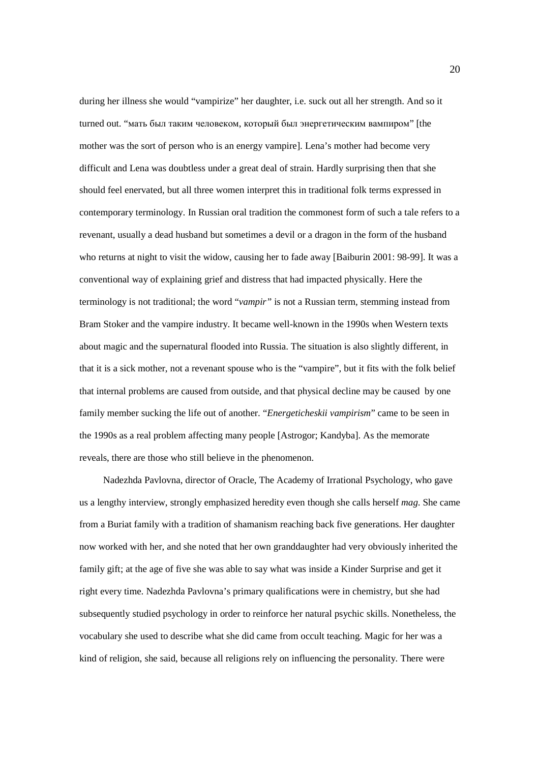during her illness she would "vampirize" her daughter, i.e. suck out all her strength. And so it turned out. "мать был таким человеком, который был энергетическим вампиром" [the mother was the sort of person who is an energy vampire]. Lena's mother had become very difficult and Lena was doubtless under a great deal of strain. Hardly surprising then that she should feel enervated, but all three women interpret this in traditional folk terms expressed in contemporary terminology. In Russian oral tradition the commonest form of such a tale refers to a revenant, usually a dead husband but sometimes a devil or a dragon in the form of the husband who returns at night to visit the widow, causing her to fade away [Baiburin 2001: 98-99]. It was a conventional way of explaining grief and distress that had impacted physically. Here the terminology is not traditional; the word "*vampir"* is not a Russian term, stemming instead from Bram Stoker and the vampire industry. It became well-known in the 1990s when Western texts about magic and the supernatural flooded into Russia. The situation is also slightly different, in that it is a sick mother, not a revenant spouse who is the "vampire", but it fits with the folk belief that internal problems are caused from outside, and that physical decline may be caused by one family member sucking the life out of another. "*Energeticheskii vampirism*" came to be seen in the 1990s as a real problem affecting many people [Astrogor; Kandyba]. As the memorate reveals, there are those who still believe in the phenomenon.

Nadezhda Pavlovna, director of Oracle, The Academy of Irrational Psychology, who gave us a lengthy interview, strongly emphasized heredity even though she calls herself *mag*. She came from a Buriat family with a tradition of shamanism reaching back five generations. Her daughter now worked with her, and she noted that her own granddaughter had very obviously inherited the family gift; at the age of five she was able to say what was inside a Kinder Surprise and get it right every time. Nadezhda Pavlovna's primary qualifications were in chemistry, but she had subsequently studied psychology in order to reinforce her natural psychic skills. Nonetheless, the vocabulary she used to describe what she did came from occult teaching. Magic for her was a kind of religion, she said, because all religions rely on influencing the personality. There were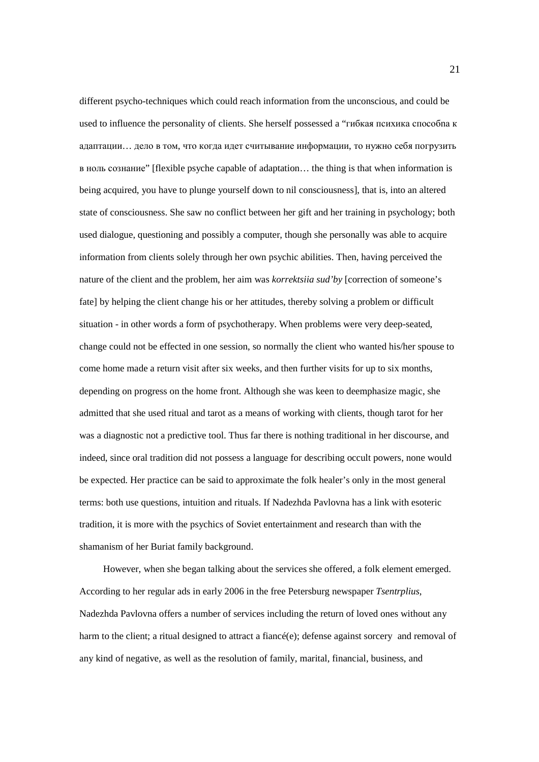different psycho-techniques which could reach information from the unconscious, and could be used to influence the personality of clients. She herself possessed a "гибкая психика способnа к адаптации… дело в том, что когда идет считывание информации, то нужно себя погрузить в ноль сознание" [flexible psyche capable of adaptation… the thing is that when information is being acquired, you have to plunge yourself down to nil consciousness], that is, into an altered state of consciousness. She saw no conflict between her gift and her training in psychology; both used dialogue, questioning and possibly a computer, though she personally was able to acquire information from clients solely through her own psychic abilities. Then, having perceived the nature of the client and the problem, her aim was *korrektsiia sud'by* [correction of someone's fate] by helping the client change his or her attitudes, thereby solving a problem or difficult situation - in other words a form of psychotherapy. When problems were very deep-seated, change could not be effected in one session, so normally the client who wanted his/her spouse to come home made a return visit after six weeks, and then further visits for up to six months, depending on progress on the home front. Although she was keen to deemphasize magic, she admitted that she used ritual and tarot as a means of working with clients, though tarot for her was a diagnostic not a predictive tool. Thus far there is nothing traditional in her discourse, and indeed, since oral tradition did not possess a language for describing occult powers, none would be expected. Her practice can be said to approximate the folk healer's only in the most general terms: both use questions, intuition and rituals. If Nadezhda Pavlovna has a link with esoteric tradition, it is more with the psychics of Soviet entertainment and research than with the shamanism of her Buriat family background.

However, when she began talking about the services she offered, a folk element emerged. According to her regular ads in early 2006 in the free Petersburg newspaper *Tsentrplius*, Nadezhda Pavlovna offers a number of services including the return of loved ones without any harm to the client; a ritual designed to attract a fiance (e); defense against sorcery and removal of any kind of negative, as well as the resolution of family, marital, financial, business, and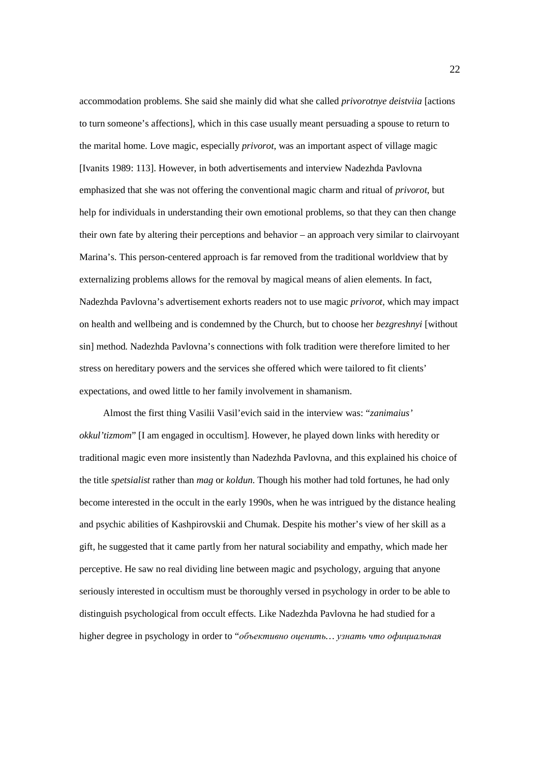accommodation problems. She said she mainly did what she called *privorotnye deistviia* [actions to turn someone's affections], which in this case usually meant persuading a spouse to return to the marital home. Love magic, especially *privorot*, was an important aspect of village magic [Ivanits 1989: 113]. However, in both advertisements and interview Nadezhda Pavlovna emphasized that she was not offering the conventional magic charm and ritual of *privorot*, but help for individuals in understanding their own emotional problems, so that they can then change their own fate by altering their perceptions and behavior – an approach very similar to clairvoyant Marina's. This person-centered approach is far removed from the traditional worldview that by externalizing problems allows for the removal by magical means of alien elements. In fact, Nadezhda Pavlovna's advertisement exhorts readers not to use magic *privorot,* which may impact on health and wellbeing and is condemned by the Church, but to choose her *bezgreshnyi* [without sin] method. Nadezhda Pavlovna's connections with folk tradition were therefore limited to her stress on hereditary powers and the services she offered which were tailored to fit clients' expectations, and owed little to her family involvement in shamanism.

Almost the first thing Vasilii Vasil'evich said in the interview was: "*zanimaius' okkul'tizmom*" [I am engaged in occultism]. However, he played down links with heredity or traditional magic even more insistently than Nadezhda Pavlovna, and this explained his choice of the title *spetsialist* rather than *mag* or *koldun*. Though his mother had told fortunes, he had only become interested in the occult in the early 1990s, when he was intrigued by the distance healing and psychic abilities of Kashpirovskii and Chumak. Despite his mother's view of her skill as a gift, he suggested that it came partly from her natural sociability and empathy, which made her perceptive. He saw no real dividing line between magic and psychology, arguing that anyone seriously interested in occultism must be thoroughly versed in psychology in order to be able to distinguish psychological from occult effects. Like Nadezhda Pavlovna he had studied for a higher degree in psychology in order to "*объективно оценить… узнать что официальная*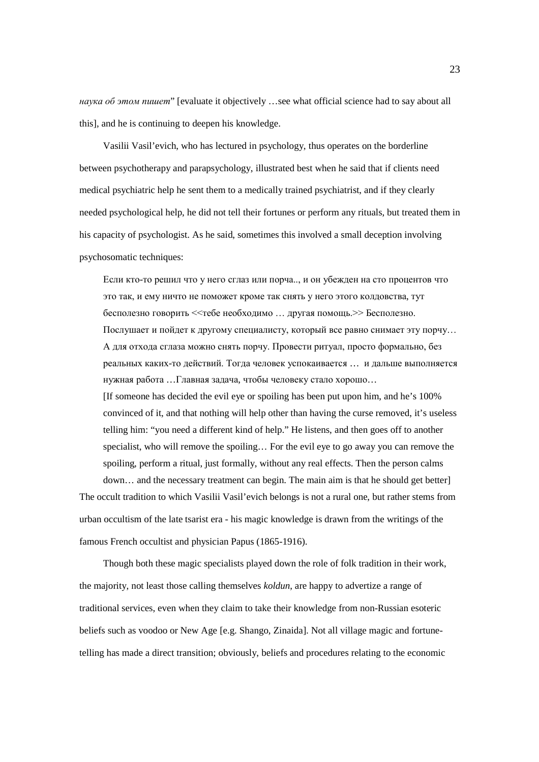*наука об этом пишет*" [evaluate it objectively …see what official science had to say about all this], and he is continuing to deepen his knowledge.

Vasilii Vasil'evich, who has lectured in psychology, thus operates on the borderline between psychotherapy and parapsychology, illustrated best when he said that if clients need medical psychiatric help he sent them to a medically trained psychiatrist, and if they clearly needed psychological help, he did not tell their fortunes or perform any rituals, but treated them in his capacity of psychologist. As he said, sometimes this involved a small deception involving psychosomatic techniques:

Если кто-то решил что у него сглаз или порча.., и он убежден на сто процентов что это так, и ему ничто не поможет кроме так снять у него этого колдовства, тут бесполезно говорить <<тебе необходимо … другая помощь.>> Бесполезно. Послушает и пойдет к другому специалисту, который все равно снимает эту порчу… А для отхода сглаза можно снять порчу. Провести ритуал, просто формально, без реальных каких-то действий. Тогда человек успокаивается … и дальше выполняется нужная работа …Главная задача, чтобы человеку стало хорошо… [If someone has decided the evil eye or spoiling has been put upon him, and he's 100% convinced of it, and that nothing will help other than having the curse removed, it's useless telling him: "you need a different kind of help." He listens, and then goes off to another specialist, who will remove the spoiling… For the evil eye to go away you can remove the spoiling, perform a ritual, just formally, without any real effects. Then the person calms down… and the necessary treatment can begin. The main aim is that he should get better] The occult tradition to which Vasilii Vasil'evich belongs is not a rural one, but rather stems from urban occultism of the late tsarist era - his magic knowledge is drawn from the writings of the

famous French occultist and physician Papus (1865-1916).

Though both these magic specialists played down the role of folk tradition in their work, the majority, not least those calling themselves *koldun*, are happy to advertize a range of traditional services, even when they claim to take their knowledge from non-Russian esoteric beliefs such as voodoo or New Age [e.g. Shango, Zinaida]. Not all village magic and fortunetelling has made a direct transition; obviously, beliefs and procedures relating to the economic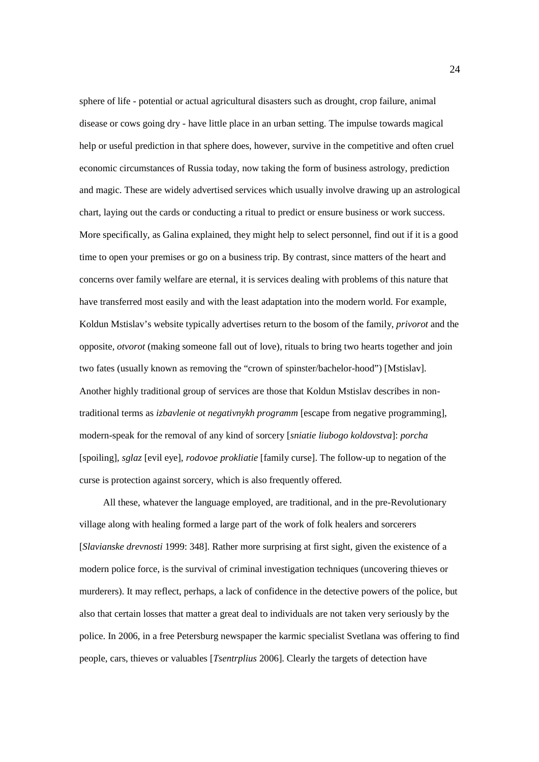sphere of life - potential or actual agricultural disasters such as drought, crop failure, animal disease or cows going dry - have little place in an urban setting. The impulse towards magical help or useful prediction in that sphere does, however, survive in the competitive and often cruel economic circumstances of Russia today, now taking the form of business astrology, prediction and magic. These are widely advertised services which usually involve drawing up an astrological chart, laying out the cards or conducting a ritual to predict or ensure business or work success. More specifically, as Galina explained, they might help to select personnel, find out if it is a good time to open your premises or go on a business trip. By contrast, since matters of the heart and concerns over family welfare are eternal, it is services dealing with problems of this nature that have transferred most easily and with the least adaptation into the modern world. For example, Koldun Mstislav's website typically advertises return to the bosom of the family, *privorot* and the opposite, *otvorot* (making someone fall out of love), rituals to bring two hearts together and join two fates (usually known as removing the "crown of spinster/bachelor-hood") [Мstislav]. Another highly traditional group of services are those that Koldun Mstislav describes in nontraditional terms as *izbavlenie ot negativnykh programm* [escape from negative programming], modern-speak for the removal of any kind of sorcery [*sniatie liubogo koldovstva*]: *porcha* [spoiling], *sglaz* [evil eye], *rodovoe prokliatie* [family curse]. The follow-up to negation of the curse is protection against sorcery, which is also frequently offered.

All these, whatever the language employed, are traditional, and in the pre-Revolutionary village along with healing formed a large part of the work of folk healers and sorcerers [*Slavianske drevnosti* 1999: 348]. Rather more surprising at first sight, given the existence of a modern police force, is the survival of criminal investigation techniques (uncovering thieves or murderers). It may reflect, perhaps, a lack of confidence in the detective powers of the police, but also that certain losses that matter a great deal to individuals are not taken very seriously by the police. In 2006, in a free Petersburg newspaper the karmic specialist Svetlana was offering to find people, cars, thieves or valuables [*Tsentrplius* 2006]. Clearly the targets of detection have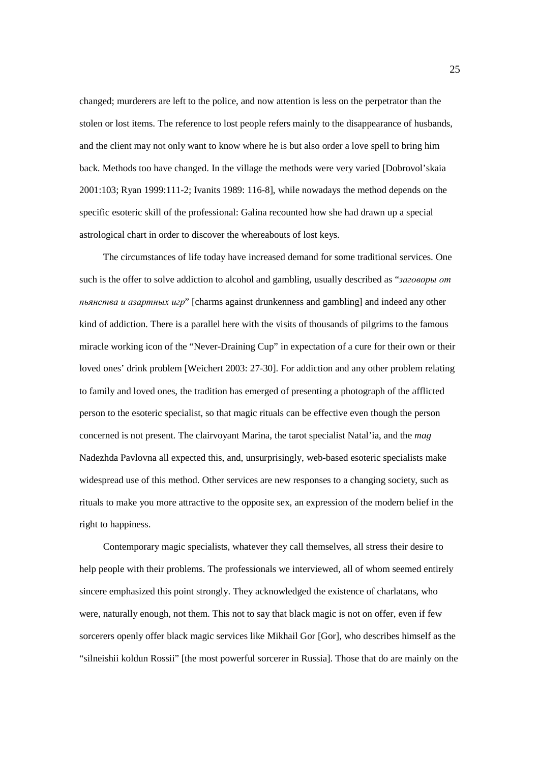changed; murderers are left to the police, and now attention is less on the perpetrator than the stolen or lost items. The reference to lost people refers mainly to the disappearance of husbands, and the client may not only want to know where he is but also order a love spell to bring him back. Methods too have changed. In the village the methods were very varied [Dobrovol'skaia 2001:103; Ryan 1999:111-2; Ivanits 1989: 116-8], while nowadays the method depends on the specific esoteric skill of the professional: Galina recounted how she had drawn up a special astrological chart in order to discover the whereabouts of lost keys.

The circumstances of life today have increased demand for some traditional services. One such is the offer to solve addiction to alcohol and gambling, usually described as "*заговоры от пьянства и азартных игр*" [charms against drunkenness and gambling] and indeed any other kind of addiction. There is a parallel here with the visits of thousands of pilgrims to the famous miracle working icon of the "Never-Draining Cup" in expectation of a cure for their own or their loved ones' drink problem [Weichert 2003: 27-30]. For addiction and any other problem relating to family and loved ones, the tradition has emerged of presenting a photograph of the afflicted person to the esoteric specialist, so that magic rituals can be effective even though the person concerned is not present. The clairvoyant Marina, the tarot specialist Natal'ia, and the *mag* Nadezhda Pavlovna all expected this, and, unsurprisingly, web-based esoteric specialists make widespread use of this method. Other services are new responses to a changing society, such as rituals to make you more attractive to the opposite sex, an expression of the modern belief in the right to happiness.

Contemporary magic specialists, whatever they call themselves, all stress their desire to help people with their problems. The professionals we interviewed, all of whom seemed entirely sincere emphasized this point strongly. They acknowledged the existence of charlatans, who were, naturally enough, not them. This not to say that black magic is not on offer, even if few sorcerers openly offer black magic services like Mikhail Gor [Gor], who describes himself as the "silneishii koldun Rossii" [the most powerful sorcerer in Russia]. Those that do are mainly on the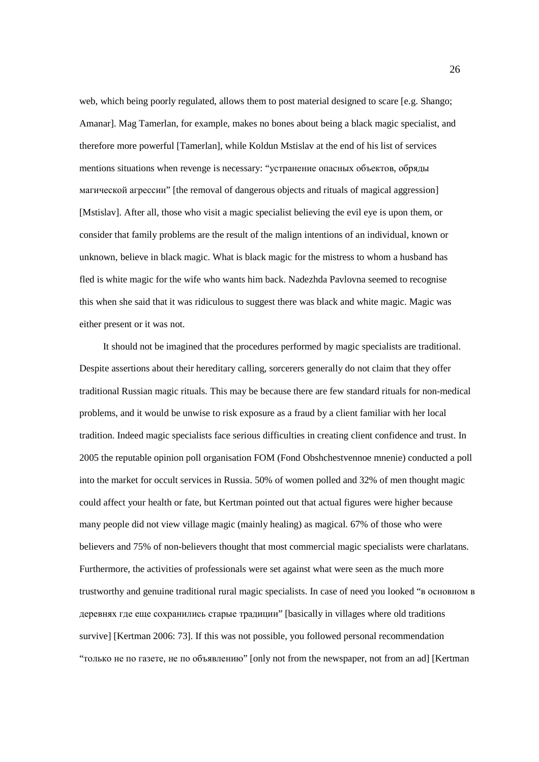web, which being poorly regulated, allows them to post material designed to scare [e.g. Shango; Amanar]. Mag Tamerlan, for example, makes no bones about being a black magic specialist, and therefore more powerful [Tamerlan], while Koldun Mstislav at the end of his list of services mentions situations when revenge is necessary: "устранение опасных объектов, обряды магической агрессии" [the removal of dangerous objects and rituals of magical aggression] [Mstislav]. After all, those who visit a magic specialist believing the evil eye is upon them, or consider that family problems are the result of the malign intentions of an individual, known or unknown, believe in black magic. What is black magic for the mistress to whom a husband has fled is white magic for the wife who wants him back. Nadezhda Pavlovna seemed to recognise this when she said that it was ridiculous to suggest there was black and white magic. Magic was either present or it was not.

It should not be imagined that the procedures performed by magic specialists are traditional. Despite assertions about their hereditary calling, sorcerers generally do not claim that they offer traditional Russian magic rituals. This may be because there are few standard rituals for non-medical problems, and it would be unwise to risk exposure as a fraud by a client familiar with her local tradition. Indeed magic specialists face serious difficulties in creating client confidence and trust. In 2005 the reputable opinion poll organisation FOM (Fond Obshchestvennoe mnenie) conducted a poll into the market for occult services in Russia. 50% of women polled and 32% of men thought magic could affect your health or fate, but Kertman pointed out that actual figures were higher because many people did not view village magic (mainly healing) as magical. 67% of those who were believers and 75% of non-believers thought that most commercial magic specialists were charlatans. Furthermore, the activities of professionals were set against what were seen as the much more trustworthy and genuine traditional rural magic specialists. In case of need you looked "в основном в деревнях где еще сохранились старые традиции" [basically in villages where old traditions survive] [Kertman 2006: 73]. If this was not possible, you followed personal recommendation "только не по газете, не по объявлению" [only not from the newspaper, not from an ad] [Kertman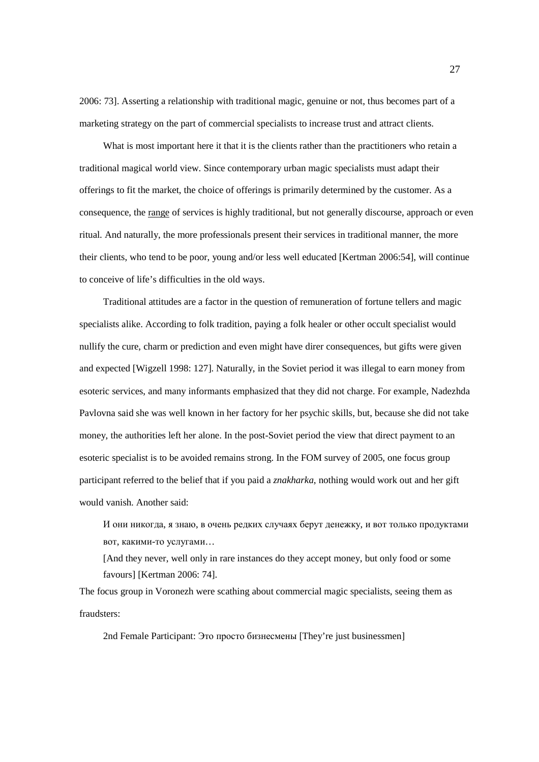2006: 73]. Asserting a relationship with traditional magic, genuine or not, thus becomes part of a marketing strategy on the part of commercial specialists to increase trust and attract clients.

What is most important here it that it is the clients rather than the practitioners who retain a traditional magical world view. Since contemporary urban magic specialists must adapt their offerings to fit the market, the choice of offerings is primarily determined by the customer. As a consequence, the range of services is highly traditional, but not generally discourse, approach or even ritual. And naturally, the more professionals present their services in traditional manner, the more their clients, who tend to be poor, young and/or less well educated [Kertman 2006:54], will continue to conceive of life's difficulties in the old ways.

Traditional attitudes are a factor in the question of remuneration of fortune tellers and magic specialists alike. According to folk tradition, paying a folk healer or other occult specialist would nullify the cure, charm or prediction and even might have direr consequences, but gifts were given and expected [Wigzell 1998: 127]. Naturally, in the Soviet period it was illegal to earn money from esoteric services, and many informants emphasized that they did not charge. For example, Nadezhda Pavlovna said she was well known in her factory for her psychic skills, but, because she did not take money, the authorities left her alone. In the post-Soviet period the view that direct payment to an esoteric specialist is to be avoided remains strong. In the FOM survey of 2005, one focus group participant referred to the belief that if you paid a *znakharka*, nothing would work out and her gift would vanish. Another said:

И они никогда, я знаю, в очень редких случаях берут денежку, и вот только продуктами вот, какими-то услугами…

[And they never, well only in rare instances do they accept money, but only food or some favours] [Kertman 2006: 74].

The focus group in Voronezh were scathing about commercial magic specialists, seeing them as fraudsters:

2nd Female Participant: Это просто бизнесмены [They're just businessmen]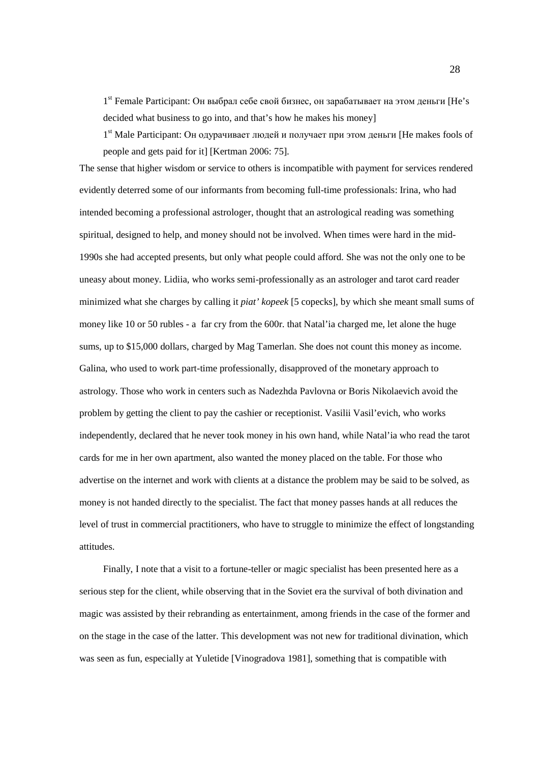1<sup>st</sup> Female Participant: Он выбрал себе свой бизнес, он зарабатывает на этом деньги [He's decided what business to go into, and that's how he makes his money]

<sup>1st</sup> Male Participant: Он одурачивает людей и получает при этом деньги [He makes fools of people and gets paid for it] [Kertman 2006: 75].

The sense that higher wisdom or service to others is incompatible with payment for services rendered evidently deterred some of our informants from becoming full-time professionals: Irina, who had intended becoming a professional astrologer, thought that an astrological reading was something spiritual, designed to help, and money should not be involved. When times were hard in the mid-1990s she had accepted presents, but only what people could afford. She was not the only one to be uneasy about money. Lidiia, who works semi-professionally as an astrologer and tarot card reader minimized what she charges by calling it *piat' kopeek* [5 copecks], by which she meant small sums of money like 10 or 50 rubles - a far cry from the 600r. that Natal'ia charged me, let alone the huge sums, up to \$15,000 dollars, charged by Mag Tamerlan. She does not count this money as income. Galina, who used to work part-time professionally, disapproved of the monetary approach to astrology. Those who work in centers such as Nadezhda Pavlovna or Boris Nikolaevich avoid the problem by getting the client to pay the cashier or receptionist. Vasilii Vasil'evich, who works independently, declared that he never took money in his own hand, while Natal'ia who read the tarot cards for me in her own apartment, also wanted the money placed on the table. For those who advertise on the internet and work with clients at a distance the problem may be said to be solved, as money is not handed directly to the specialist. The fact that money passes hands at all reduces the level of trust in commercial practitioners, who have to struggle to minimize the effect of longstanding attitudes.

Finally, I note that a visit to a fortune-teller or magic specialist has been presented here as a serious step for the client, while observing that in the Soviet era the survival of both divination and magic was assisted by their rebranding as entertainment, among friends in the case of the former and on the stage in the case of the latter. This development was not new for traditional divination, which was seen as fun, especially at Yuletide [Vinogradova 1981], something that is compatible with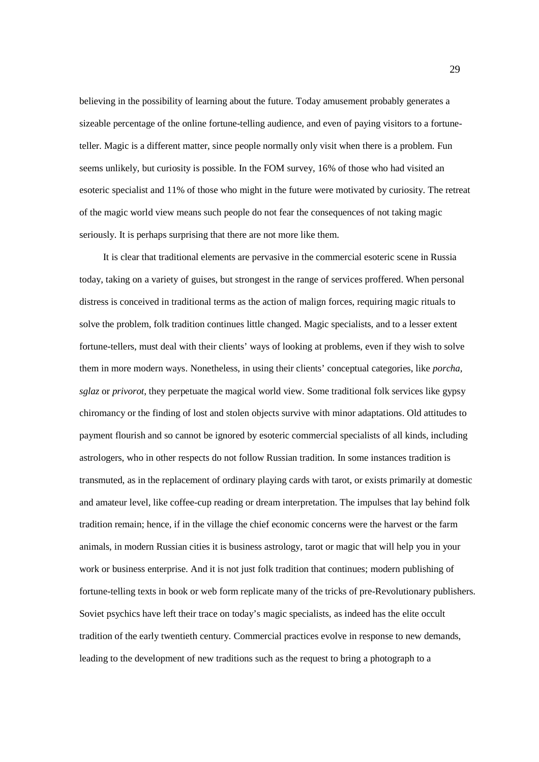believing in the possibility of learning about the future. Today amusement probably generates a sizeable percentage of the online fortune-telling audience, and even of paying visitors to a fortuneteller. Magic is a different matter, since people normally only visit when there is a problem. Fun seems unlikely, but curiosity is possible. In the FOM survey, 16% of those who had visited an esoteric specialist and 11% of those who might in the future were motivated by curiosity. The retreat of the magic world view means such people do not fear the consequences of not taking magic seriously. It is perhaps surprising that there are not more like them.

It is clear that traditional elements are pervasive in the commercial esoteric scene in Russia today, taking on a variety of guises, but strongest in the range of services proffered. When personal distress is conceived in traditional terms as the action of malign forces, requiring magic rituals to solve the problem, folk tradition continues little changed. Magic specialists, and to a lesser extent fortune-tellers, must deal with their clients' ways of looking at problems, even if they wish to solve them in more modern ways. Nonetheless, in using their clients' conceptual categories, like *porcha, sglaz* or *privorot*, they perpetuate the magical world view. Some traditional folk services like gypsy chiromancy or the finding of lost and stolen objects survive with minor adaptations. Old attitudes to payment flourish and so cannot be ignored by esoteric commercial specialists of all kinds, including astrologers, who in other respects do not follow Russian tradition. In some instances tradition is transmuted, as in the replacement of ordinary playing cards with tarot, or exists primarily at domestic and amateur level, like coffee-cup reading or dream interpretation. The impulses that lay behind folk tradition remain; hence, if in the village the chief economic concerns were the harvest or the farm animals, in modern Russian cities it is business astrology, tarot or magic that will help you in your work or business enterprise. And it is not just folk tradition that continues; modern publishing of fortune-telling texts in book or web form replicate many of the tricks of pre-Revolutionary publishers. Soviet psychics have left their trace on today's magic specialists, as indeed has the elite occult tradition of the early twentieth century. Commercial practices evolve in response to new demands, leading to the development of new traditions such as the request to bring a photograph to a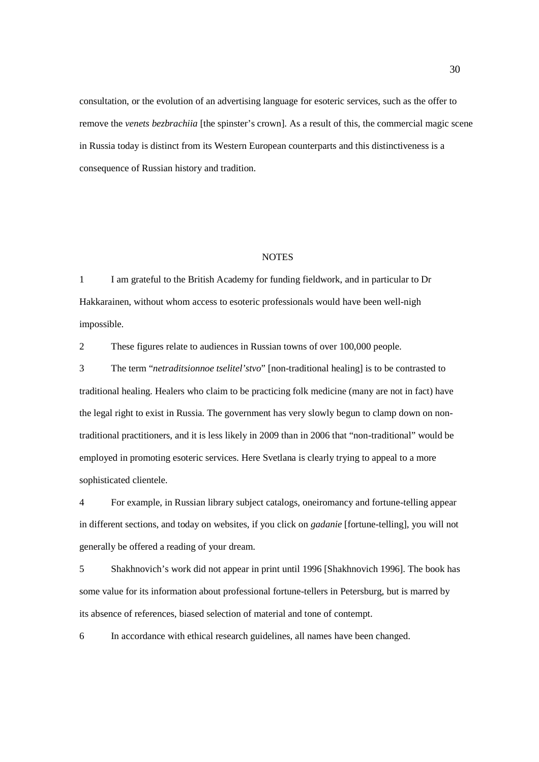consultation, or the evolution of an advertising language for esoteric services, such as the offer to remove the *venets bezbrachiia* [the spinster's crown]. As a result of this, the commercial magic scene in Russia today is distinct from its Western European counterparts and this distinctiveness is a consequence of Russian history and tradition.

# **NOTES**

1 I am grateful to the British Academy for funding fieldwork, and in particular to Dr Hakkarainen, without whom access to esoteric professionals would have been well-nigh impossible.

2 These figures relate to audiences in Russian towns of over 100,000 people.

3 The term "*netraditsionnoe tselitel'stvo*" [non-traditional healing] is to be contrasted to traditional healing. Healers who claim to be practicing folk medicine (many are not in fact) have the legal right to exist in Russia. The government has very slowly begun to clamp down on nontraditional practitioners, and it is less likely in 2009 than in 2006 that "non-traditional" would be employed in promoting esoteric services. Here Svetlana is clearly trying to appeal to a more sophisticated clientele.

4 For example, in Russian library subject catalogs, oneiromancy and fortune-telling appear in different sections, and today on websites, if you click on *gadanie* [fortune-telling], you will not generally be offered a reading of your dream.

5 Shakhnovich's work did not appear in print until 1996 [Shakhnovich 1996]. The book has some value for its information about professional fortune-tellers in Petersburg, but is marred by its absence of references, biased selection of material and tone of contempt.

6 In accordance with ethical research guidelines, all names have been changed.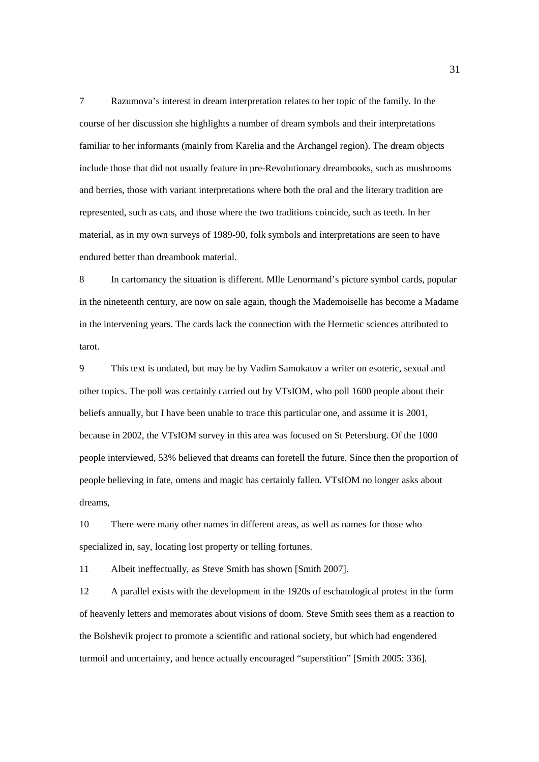7 Razumova's interest in dream interpretation relates to her topic of the family. In the course of her discussion she highlights a number of dream symbols and their interpretations familiar to her informants (mainly from Karelia and the Archangel region). The dream objects include those that did not usually feature in pre-Revolutionary dreambooks, such as mushrooms and berries, those with variant interpretations where both the oral and the literary tradition are represented, such as cats, and those where the two traditions coincide, such as teeth. In her material, as in my own surveys of 1989-90, folk symbols and interpretations are seen to have endured better than dreambook material.

8 In cartomancy the situation is different. Mlle Lenormand's picture symbol cards, popular in the nineteenth century, are now on sale again, though the Mademoiselle has become a Madame in the intervening years. The cards lack the connection with the Hermetic sciences attributed to tarot.

9 This text is undated, but may be by Vadim Samokatov a writer on esoteric, sexual and other topics. The poll was certainly carried out by VTsIOM, who poll 1600 people about their beliefs annually, but I have been unable to trace this particular one, and assume it is 2001, because in 2002, the VTsIOM survey in this area was focused on St Petersburg. Of the 1000 people interviewed, 53% believed that dreams can foretell the future. Since then the proportion of people believing in fate, omens and magic has certainly fallen. VTsIOM no longer asks about dreams,

10 There were many other names in different areas, as well as names for those who specialized in, say, locating lost property or telling fortunes.

11 Albeit ineffectually, as Steve Smith has shown [Smith 2007].

12 A parallel exists with the development in the 1920s of eschatological protest in the form of heavenly letters and memorates about visions of doom. Steve Smith sees them as a reaction to the Bolshevik project to promote a scientific and rational society, but which had engendered turmoil and uncertainty, and hence actually encouraged "superstition" [Smith 2005: 336].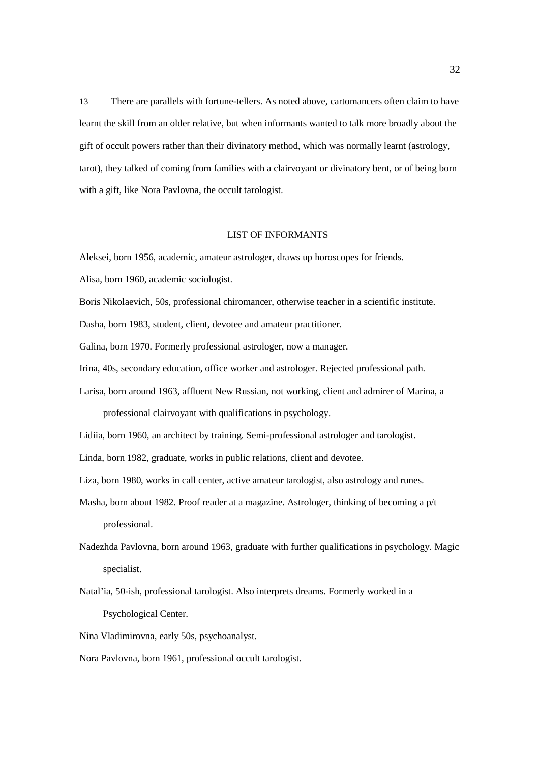13 There are parallels with fortune-tellers. As noted above, cartomancers often claim to have learnt the skill from an older relative, but when informants wanted to talk more broadly about the gift of occult powers rather than their divinatory method, which was normally learnt (astrology, tarot), they talked of coming from families with a clairvoyant or divinatory bent, or of being born with a gift, like Nora Pavlovna, the occult tarologist.

## LIST OF INFORMANTS

Aleksei, born 1956, academic, amateur astrologer, draws up horoscopes for friends.

Alisa, born 1960, academic sociologist.

Boris Nikolaevich, 50s, professional chiromancer, otherwise teacher in a scientific institute.

Dasha, born 1983, student, client, devotee and amateur practitioner.

Galina, born 1970. Formerly professional astrologer, now a manager.

Irina, 40s, secondary education, office worker and astrologer. Rejected professional path.

Larisa, born around 1963, affluent New Russian, not working, client and admirer of Marina, a

professional clairvoyant with qualifications in psychology.

Lidiia, born 1960, an architect by training. Semi-professional astrologer and tarologist.

Linda, born 1982, graduate, works in public relations, client and devotee.

Liza, born 1980, works in call center, active amateur tarologist, also astrology and runes.

Masha, born about 1982. Proof reader at a magazine. Astrologer, thinking of becoming a p/t professional.

- Nadezhda Pavlovna, born around 1963, graduate with further qualifications in psychology. Magic specialist.
- Natal'ia, 50-ish, professional tarologist. Also interprets dreams. Formerly worked in a Psychological Center.

Nina Vladimirovna, early 50s, psychoanalyst.

Nora Pavlovna, born 1961, professional occult tarologist.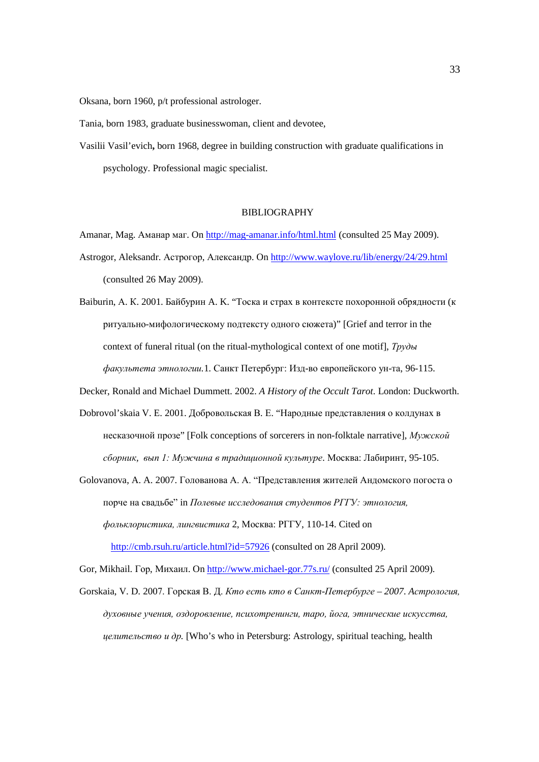Oksana, born 1960, p/t professional astrologer.

Tania, born 1983, graduate businesswoman, client and devotee,

Vasilii Vasil'evich**,** born 1968, degree in building construction with graduate qualifications in psychology. Professional magic specialist.

### BIBLIOGRAPHY

Amanar, Mag. Аманар маг. On http://mag-amanar.info/html.html (consulted 25 May 2009).

- Astrogor, Aleksandr. Астрогор, Александр. On http://www.waylove.ru/lib/energy/24/29.html (consulted 26 May 2009).
- Baiburin, А. К. 2001. Байбурин A. K. "Тоска и страх в контексте похоронной обрядности (к ритуально-мифологическому подтексту одного сюжета)" [Grief and terror in the context of funeral ritual (on the ritual-mythological context of one motif], *Труды факультета этнологии.*1. Санкт Петербург: Изд-во европейского ун-та, 96-115.
- Decker, Ronald and Michael Dummett. 2002. *A History of the Occult Tarot*. London: Duckworth.
- Dobrovol'skaia V. E. 2001. Добровольская В. Е. "Народные представления о колдунах в несказочной прозе" [Folk conceptions of sorcerers in non-folktale narrative], *Мужской сборник, вып 1: Мужчина в традиционной культуре*. Москва: Лабиринт, 95-105.
- Golovanova, A. A. 2007. Голованова А. А. "Представления жителей Андомского погоста о порче на свадьбе" in *Полевые исследования студентов РГГУ: этнология, фольклористика, лингвистика* 2, Москва: РГГУ, 110-14. Cited on http://cmb.rsuh.ru/article.html?id=57926 (consulted on 28 April 2009).

Gor, Mikhail. Гор, Михаил. On http://www.michael-gor.77s.ru/ (consulted 25 April 2009).

Gorskaia, V. D. 2007. Горская В. Д. *Кто есть кто в Санкт-Петербурге – 2007*. *Aстрология, духовные учения, оздоровление, психотренинги, таро, йога, этнические искусства, целительство и др.* [Who's who in Petersburg: Astrology, spiritual teaching, health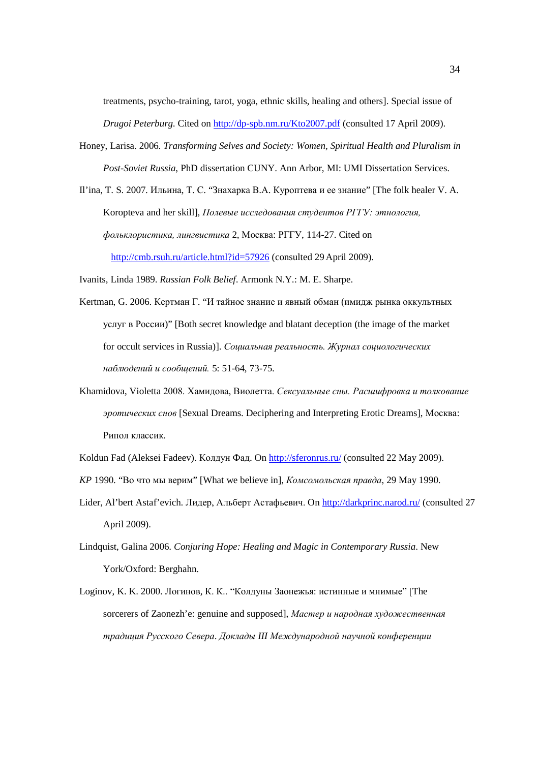treatments, psycho-training, tarot, yoga, ethnic skills, healing and others]. Special issue of *Drugoi Peterburg*. Cited on http://dp-spb.nm.ru/Kto2007.pdf (consulted 17 April 2009).

- Honey, Larisa. 2006. *Transforming Selves and Society: Women, Spiritual Health and Pluralism in Post-Soviet Russia*, PhD dissertation CUNY. Ann Arbor, MI: UMI Dissertation Services.
- Il'ina, T. S. 2007. Ильина, Т. С. "Знахарка В.А. Куроптева и ее знание" [The folk healer V. A. Koropteva and her skill], *Полевые исследования студентов РГГУ: этнология, фольклористика, лингвистика* 2, Москва: РГГУ, 114-27. Cited on http://cmb.rsuh.ru/article.html?id=57926 (consulted 29 April 2009).

Ivanits, Linda 1989. *Russian Folk Belief*. Armonk N.Y.: M. E. Sharpe.

- Kertman, G. 2006. Кертман Г. "И тайное знание и явный обман (имидж рынка оккультных услуг в России)" [Both secret knowledge and blatant deception (the image of the market for occult services in Russia)]. *Социальная реальность. Журнал социологических наблюдений и сообщений.* 5: 51-64, 73-75.
- Khamidova, Violetta 2008. Хамидова, Виолетта. *Сексуальные сны. Расшифровка и толкование эротических снов* [Sexual Dreams. Deciphering and Interpreting Erotic Dreams], Москва: Рипол классик.

Koldun Fad (Aleksei Fadeev). Колдун Фад. On http://sferonrus.ru/ (consulted 22 May 2009).

*KP* 1990. "Во что мы верим" [What we believe in], *Комсомольская правда*, 29 May 1990.

- Lider, Al'bert Astaf'evich. Лидер, Альберт Астафьевич. On http://darkprinc.narod.ru/ (consulted 27 April 2009).
- Lindquist, Galina 2006. *Conjuring Hope: Healing and Magic in Contemporary Russia*. New York/Oxford: Berghahn.
- Loginov, K. K. 2000. Логинов, К. К.. "Колдуны Заонежья: истинные и мнимые" [The sorcerers of Zaonezh'e: genuine and supposed], *Мастер и народная художественная традиция Русского Севера*. *Доклады III Международной научной конференции*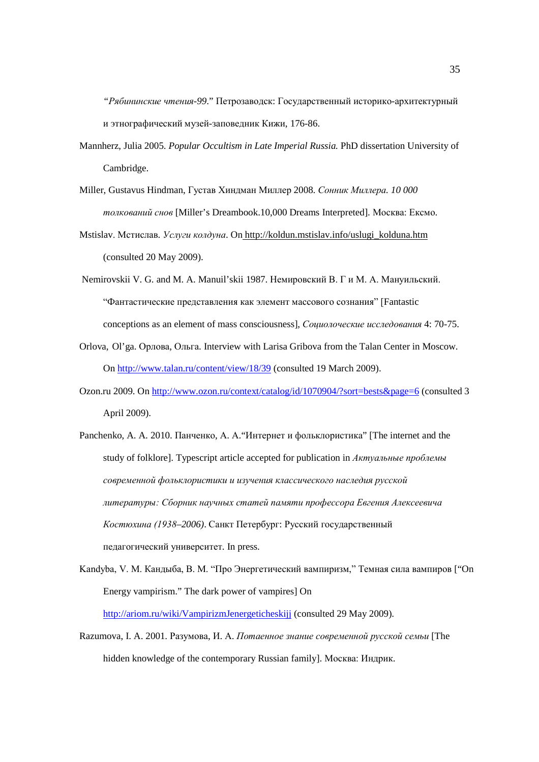*"Рябининские чтения-99*." Петрозаводск: Государственный историко-архитектурный и этнографический музей-заповедник Кижи, 176-86.

- Mannherz, Julia 2005. *Popular Occultism in Late Imperial Russia.* PhD dissertation University of Cambridge.
- Miller, Gustavus Hindman, Густав Хиндман Миллер 2008. *Сонник Миллера. 10 000 толкований снов* [Miller's Dreambook.10,000 Dreams Interpreted]. Москва: Ексмо.
- Mstislav. Мстислав. *Услуги колдуна*. On http://koldun.mstislav.info/uslugi\_kolduna.htm (consulted 20 May 2009).
- Nemirovskii V. G. and M. A. Manuil'skii 1987. Немировский В. Г и М. А. Мануильский. "Фантастические представления как элемент массового сознания" [Fantastic conceptions as an element of mass consciousness], *Социолоческие исследования* 4: 70-75.
- Orlova, Ol'ga. Орлова, Ольга. Interview with Larisa Gribova from the Talan Center in Moscow. On http://www.talan.ru/content/view/18/39 (consulted 19 March 2009).
- Ozon.ru 2009. On http://www.ozon.ru/context/catalog/id/1070904/?sort=bests&page=6 (consulted 3 April 2009).
- Panchenko, A. A. 2010. Панченко, А. А."Интернет и фольклористика" [The internet and the study of folklore]. Typescript article accepted for publication in *Актуальные проблемы современной фольклористики и изучения классического наследия русской литературы: Сборник научных статей памяти профессора Евгения Алексеевича Костюхина (1938–2006)*. Санкт Петербург: Русский государственный педагогический университет. In press.
- Kandyba, V. M. Кандыба, В. М. "Про Энергетический вампиризм," Темная сила вампиров ["On Energy vampirism." The dark power of vampires] On http://ariom.ru/wiki/VampirizmJenergeticheskijj (consulted 29 May 2009).
- Razumova, I. A. 2001. Разумова, И. А. *Потаенное знание современной русской семьи* [The hidden knowledge of the contemporary Russian family]. Москва: Индрик.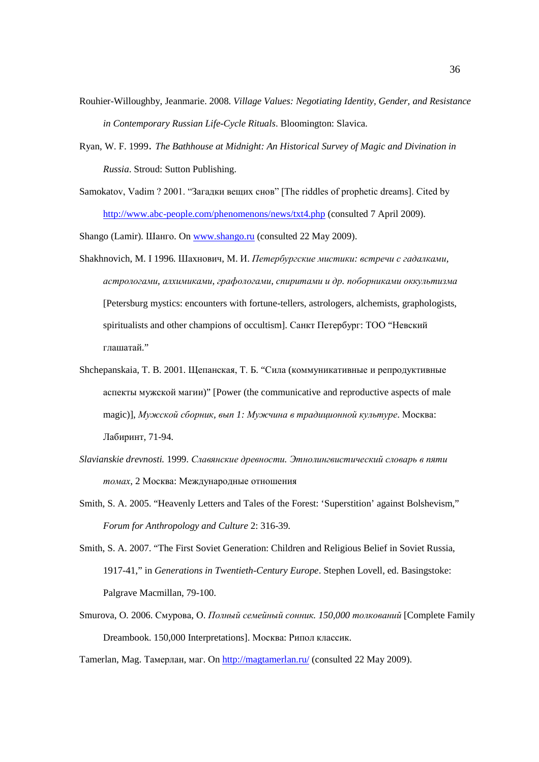- Rouhier-Willoughby, Jeanmarie. 2008. *Village Values: Negotiating Identity, Gender, and Resistance in Contemporary Russian Life-Cycle Rituals*. Bloomington: Slavica.
- Ryan, W. F. 1999. *The Bathhouse at Midnight: An Historical Survey of Magic and Divination in Russia*. Stroud: Sutton Publishing.
- Samokatov, Vadim ? 2001. "Загадки вещих снов" [The riddles of prophetic dreams]. Cited by http://www.abc-people.com/phenomenons/news/txt4.php (consulted 7 April 2009).

Shango (Lamir). Шанго. On www.shango.ru (consulted 22 May 2009).

- Shakhnovich, M. I 1996. Шахнович, М. И. *Петербургские мистики: встречи с гадалками, астрологами, алхимиками, графологами, спиритами и др. поборниками оккультизма* [Petersburg mystics: encounters with fortune-tellers, astrologers, alchemists, graphologists, spiritualists and other champions of occultism]. Санкт Петербург: ТОО "Невский глашатай."
- Shchepanskaia, T. B. 2001. Щепанская, Т. Б. "Сила (коммуникативные и репродуктивные аспекты мужской магии)" [Power (the communicative and reproductive aspects of male magic)], *Мужской сборник, вып 1: Мужчина в традиционной культуре*. Москва: Лабиринт, 71-94.
- *Slavianskie drevnosti.* 1999. *Славянские древности. Этнолингвистический словарь в пяти томах*, 2 Москва: Международные отношения
- Smith, S. A. 2005. "Heavenly Letters and Tales of the Forest: 'Superstition' against Bolshevism," *Forum for Anthropology and Culture* 2: 316-39.
- Smith, S. A. 2007. "The First Soviet Generation: Children and Religious Belief in Soviet Russia, 1917-41," in *Generations in Twentieth-Century Europe*. Stephen Lovell, ed. Basingstoke: Palgrave Macmillan, 79-100.
- Smurova, O. 2006. Смурова, О. *Полный семейный сонник. 150,000 толкований* [Complete Family Dreambook. 150,000 Interpretations]. Москва: Рипол классик.

Tamerlan, Mag. Тамерлан, маг. On http://magtamerlan.ru/ (consulted 22 May 2009).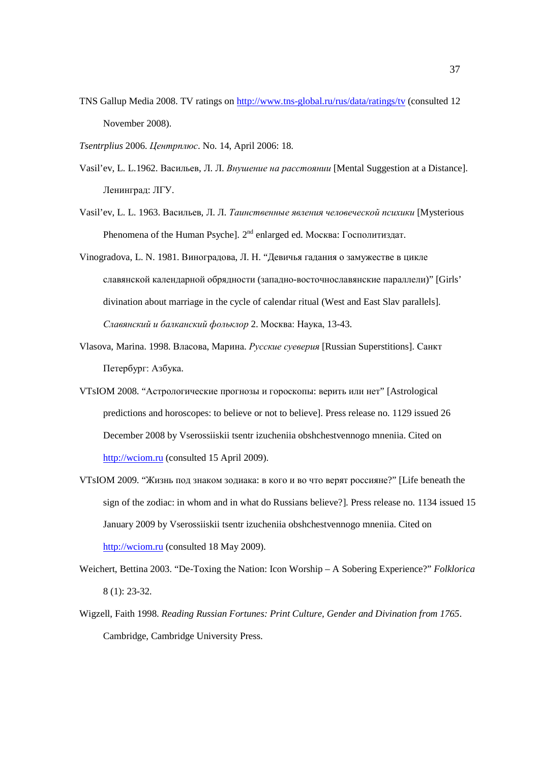- TNS Gallup Media 2008. TV ratings on http://www.tns-global.ru/rus/data/ratings/tv (consulted 12 November 2008).
- *Tsentrplius* 2006. *Центрплюс*. No. 14, April 2006: 18.
- Vasil'ev, L. L.1962. Васильев, Л. Л. *Внушение на расстоянии* [Mental Suggestion at a Distance]. Ленинград: ЛГУ.
- Vasil'ev, L. L. 1963. Васильев, Л. Л*. Таинственные явления человеческой психики* [Mysterious Phenomena of the Human Psyche]. 2<sup>nd</sup> enlarged ed. Москва: Госполитиздат.
- Vinogradova, L. N. 1981. Виноградова, Л. Н. "Девичья гадания о замужестве в цикле славянской календарной обрядности (западно-восточнославянские параллели)" [Girls' divination about marriage in the cycle of calendar ritual (West and East Slav parallels]. *Славянский и балканский фольклор* 2. Москва: Наука, 13-43.
- Vlasova, Marina. 1998. Власова, Марина. *Русские суеверия* [Russian Superstitions]. Санкт Петербург: Азбука.
- VTsIOM 2008. "Астрологические прогнозы и гороскопы: верить или нет" [Astrological predictions and horoscopes: to believe or not to believe]. Press release no. 1129 issued 26 December 2008 by Vserossiiskii tsentr izucheniia obshchestvennogo mneniia. Cited on http://wciom.ru (consulted 15 April 2009).
- VTsIOM 2009. "Жизнь под знаком зодиака: в кого и во что верят россияне?" [Life beneath the sign of the zodiac: in whom and in what do Russians believe?]. Press release no. 1134 issued 15 January 2009 by Vserossiiskii tsentr izucheniia obshchestvennogo mneniia. Cited on http://wciom.ru (consulted 18 May 2009).
- Weichert, Bettina 2003. "De-Toxing the Nation: Icon Worship A Sobering Experience?" *Folklorica* 8 (1): 23-32.
- Wigzell, Faith 1998. *Reading Russian Fortunes: Print Culture, Gender and Divination from 1765*. Cambridge, Cambridge University Press.